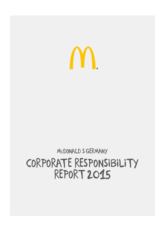## corporate responsibility report 2015

MCDONALD S GERMANY

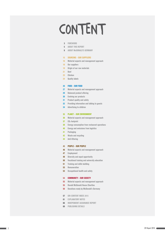## CONTENT

#### [foreword](#page-2-0)

- [about this report](#page-4-0)
- 9 ABOUT McDONALD'S GERMANY

#### [15 sourcing – our suppliers](#page-14-0)

- [Material aspects and management approach](#page-15-0)
- [Our suppliers](#page-17-0)
- [Origin of our raw materials](#page-18-0)
- [Beef](#page-20-0)
- [Chicken](#page-22-0)
- [Quality labels](#page-23-0)

#### [Food – our food](#page-25-0)

- [Material aspects and management approach](#page-26-0)
- [Balanced product offering](#page-28-0)
- [Evolving our products](#page-29-0)
- [Product quality and safety](#page-30-0)
- [Providing information and talking to guests](#page-31-0)
- [Advertising to children](#page-33-0)

#### [Planet – our environ](#page-34-0) ment

- [Material aspects and management approach](#page-35-0)
- CO [2-footprint](#page-36-0)
- [Energy consumption from restaurant operations](#page-37-0)
- [Energy and emissions from logistics](#page-39-0)
- [Packaging](#page-40-0)
- [Waste and recycling](#page-41-0)
- [Anti-littering](#page-43-0)

#### [People – our people](#page-44-0)

- [Material aspects and management approach](#page-45-0)
- [Employment](#page-46-0)
- [Diversity and equal opportunity](#page-47-0)
- [Vocational training and university education](#page-49-0)
- [Training and skills building](#page-50-0)
- [Remuneration](#page-52-0)
- [Occupational health and safety](#page-52-0)

#### C [ommunity – our society](#page-53-0)

- [Material aspects and management approach](#page-54-0)
- [Ronald Mc](#page-54-0) Donald House Charities
- [Donations mady by Mc](#page-55-0) Donald's Germany
- 57 GRI-CONTENT INDEX 2015
- [explanatory notes](#page-60-0)
- [Independent](#page-65-0)  Assurance Report
- [publishing details](#page-68-0)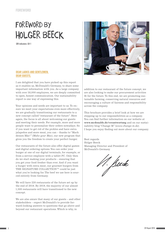## <span id="page-2-0"></span>FOREWORD BY holger beeck

GRI indicators: G4-1

#### Dear Ladies and Gentlemen, Dear Guests,

I am delighted that you have picked up this report as it enables us, McDonald's Germany, to share some important information with you. As a large company with over 58,000 employees, we are deeply committed to open, honest communication. Our sustainability report is one way of expressing this.

Your opinions and needs are important to us. To ensure we meet your expectations even more effectively, we are gradually transitioning our restaurants to a new concept called "restaurant of the future". Here again, the focus is all about welcoming our guests and meeting their needs. For example, more and more people want to personalize their orders nowadays. So if you want to get rid of the pickles and have extra jalapeños and more meat, you can – thanks to "Mach deinen Mäc!" *(Make your Mac)*, our new program that gives you the freedom to create your perfect burger.

Our restaurants of the future also offer digital games and digital ordering options. You can order your burger at one of our digital terminals, for example, or from a service employee with a tablet PC. Only then do we start making your products – ensuring that you get your food fresher than ever. And if you want a burger with extra meat, our gourmet burgers from THE SIGNATURE COLLECTION™ could be just what you're looking for. The beef we use here is sourced entirely from Germany.

We will have 220 restaurants of the future set up by the end of 2016. By 2019, the majority of our almost 1,500 restaurants will have transitioned to the new concept.

We are also aware that many of our guests – and other stakeholders – expect McDonald's to provide forward-looking answers to questions that go above and beyond our restaurant operations. Which is why, in



addition to our restaurant of the future concept, we are also looking to make our procurement activities fit for the future. To this end, we are promoting sustainable farming, conserving natural resources and encouraging a culture of fairness and responsibility across the company.

This brochure provides a brief look at how we are stepping up to our responsibilities as a company. You can find further information on our website at **[www.mcdonalds.de/verantwortung](http://www.mcdonalds.de/verantwortung)** and on our sustainability blog "Change M" *(www.change-m.de)*. I hope you enjoy finding out more about our company.

Best regards Holger Beeck Managing Director and President of McDonald's Germany

11. Sude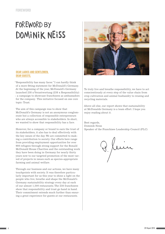## FOREWORD BY Dominik Neiss



#### Dear Ladies and Gentlemen, Dear Guests,

"Responsibility has many faces." I can hardly think of a more fitting statement for McDonald's Germany. At the beginning of the year, McDonald's Germany launched 238 x Verantwortung (238 x Responsibility) – a campaign to showcase franchisees as ambassadors for the company. This initiative focused on one core topic: Trust.

The aim of this campaign was to show that McDonald's Germany is not an anonymous conglomerate but a collection of responsible entrepreneurs who are always accessible to stakeholders. In short, we wanted to show that responsibility has a face.

However, for a company or brand to earn the trust of its stakeholders, it also has to deal effectively with the key issues of the day. We are committed to making a contribution to society. Our efforts here range from providing employment opportunities for over 900 refugees through strong support for the Ronald McDonald House Charities and the outstanding work they have been doing in Germany for nearly thirty years now to our targeted promotion of the most varied of projects in issues such as species-appropriate farming and animal welfare.

Through our business and our actions, we have many touchpoints with society. It was therefore particularly important for us this year to shine a light on the people who live, breathe and shape the McDonald's Germany sustainability strategy every day at each of our almost 1,500 restaurants. The 238 franchisees show that responsibility and trust go hand in hand. Their commitment extends much further than ensuring a great experience for guests at our restaurants.

To truly live and breathe responsibility, we have to act conscientiously at every step of the value chain from crop cultivation and animal husbandry to reusing and recycling materials.

Above all else, our report shows that sustainability at McDonalds Germany is a team effort. I hope you enjoy reading about it.

Best regards, Dominik Neiss Speaker of the Franchisee Leadership Council (FLC)

Kein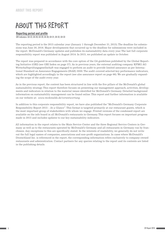## <span id="page-4-0"></span>About this report

#### Reporting period and profile

GRI indicators: G4-22, G4-28, G4-29, G4-30, G4-31, G4-32, G4-33

The reporting period is the 2015 calendar year (January 1 through December 31, 2015). The deadline for submissions was June 30, 2016. Major developments that occurred up to the deadline for submissions were included in the report. McDonald's Germany updates and publishes its sustainability data every year. The last full corporate responsibility report was published in August 2014. In 2015, we published an update in October.

The report was prepared in accordance with the core option of the G4 guidelines published by the Global Reporting Initiative (GRI) (see GRI Index on page 57). As in previous years, the external auditing company KPMG AG Wirtschaftsprüfungsgesellschaft was engaged to perform an audit to provide limited assurance as per International Standard on Assurance Engagements (ISAE) 3000. The audit covered selected key performance indicators, which are highlighted accordingly in the report (see also assurance report on page 66). We are gradually expanding the scope of the audit every year.

As in the previous report, the content has been structured in line with the five pillars of the McDonald's global sustainability strategy. This report therefore focuses on presenting our management approach, activities, developments and indicators in relation to the material issues identified for McDonald's Germany. Detailed background information on sustainability management can be found online. This report and further information is available on our website at: *[www.mcdonalds.de/verantwortung](http://www.mcdonalds.de/uber-uns/nachhaltigkeit)*.

In addition to this corporate responsibility report, we have also published the "McDonald's Germany Corporate Responsibility Report 2015 – At a Glance". This format is targeted primarily at our restaurant guests, which is the most important group of stakeholders with whom we engage. Printed versions of the condensed report are available on the info board in all McDonald's restaurants in Germany. This report focuses on important progress made in 2015 and includes updates to our key sustainability indicators.

All information in the report relates to the Main Service Center and the three Regional Service Centers in Germany as well as to the restaurants operated by McDonald's Germany and all restaurants in Germany run by franchisees. Any exceptions to this are specifically stated. In the interests of readability, we generally do not write out the full legal names of companies, associations and non-profit organizations. In cases where McDonald's Deutschland Inc. is referenced in the report, the corresponding information refers exclusively to company-owned restaurants and administration. Contact partners for any queries relating to the report and its contents are listed in the publishing details.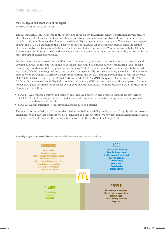#### Material topics and boundaries of the report

GRI indicators: G4-18, G4-19, G4-20, G4-21, G4-23

The sustainability issues covered in this report are based on the materiality analysis performed for the McDonald's Germany 2013 Corporate Responsibility Report. We prepared a broad spectrum of potential issues for this in collaboration with internal and external sustainability and communication experts. These were then mapped against the GRI's G4 guidelines, the G4 sector-specific disclosures for the food processing sector, the results of a meta-analysis of trends in nutrition carried out in collaboration with the Wuppertal Institute for Climate, Environment and Energy as well as the views, wishes and expectations regarding sustainability expressed by our most important stakeholder groups.

For this report, we reassessed and modified the 2013 materiality analysis to ensure it was still up-to-date and covered all areas. To this end, we analyzed the most important stakeholder surveys, monitoring tools, engagement groups, analyses and developments since January 1, 2015, to determine if key issues needed to be added, expanded, deleted or reweighted and, if so, which issues specifically. At the same time, we looked at the relationship between McDonald's Germany's business operations and the Sustainable Development Goals for the year 2030 (2030 SDGs) released by the United Nations in fall 2015. The *SDG Compass* links the aims of the 2030 SDGs with concrete sustainability indicators, including many GRI indicators. We used this compass to find out which SDG goals are impacted the most by our core business activities. The most relevant SDGs for McDonald's Germany are as follows:

- SDG 2: End hunger, achieve food security and improved nutrition and promote sustainable agriculture
- SDG 8: Promote sustained, inclusive and sustainable economic growth, full and productive employment and decent work for all
- SDG 12: Ensure sustainable consumption and production patterns

The evaluation revealed that all issues identified in the 2013 materiality analysis are still highly relevant to our stakeholders and our core business. We also identified and incorporated two new key issues: Integration (covered in the section People on page 45) and recycling (covered in the section Planet on page 35).

Materiality analysis for McDonald's Germany Issues that are highly relevant to our stakeholders and our core business

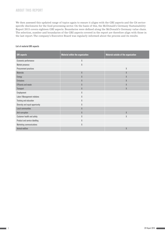#### About this report

We then assessed this updated range of topics again to ensure it aligns with the GRI aspects and the G4 sectorspecific disclosures for the food processing sector. On the basis of this, the McDonald's Germany Sustainability Report 2015 covers eighteen GRI aspects. Boundaries were defined along the McDonald's Germany value chain. The selection, number and boundaries of the GRI aspects covered in the report are therefore align with those in the last report. The company's Executive Board was regularly informed about the process and its results.

#### List of material GRI aspects

| <b>GRI</b> aspects              | <b>Material within the organization</b>             | Material outside of the organization |
|---------------------------------|-----------------------------------------------------|--------------------------------------|
| Economic performance            | X                                                   |                                      |
| Market presence                 | $\mathsf{X}% _{0}^{\prime}=\mathsf{X}_{0}^{\prime}$ |                                      |
| Procurement practices           |                                                     | X                                    |
| <b>Materials</b>                | X                                                   | X                                    |
| Energy                          | $\chi$                                              | X                                    |
| <b>Emissions</b>                | X                                                   | X                                    |
| <b>Effluents and waste</b>      | X                                                   | X                                    |
| Transport                       | X                                                   | X                                    |
| Employment                      | X                                                   |                                      |
| Labor / Management relations    | X                                                   |                                      |
| Training and education          | X                                                   |                                      |
| Diversity and equal opportunity | X                                                   |                                      |
| <b>Local communities</b>        | $\chi$                                              |                                      |
| Anti-corruption                 | X                                                   | X                                    |
| Customer health and safety      | X                                                   | Χ                                    |
| Product and service labelling   | X                                                   |                                      |
| <b>Marketing communications</b> | X                                                   |                                      |
| Animal welfare                  |                                                     | X                                    |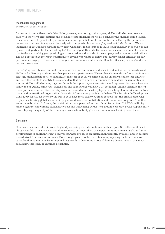#### Stakeholder engagement

GRI indicators: G4-24, G4-25, G4-26, G4-27

By means of interactive stakeholder dialog, surveys, monitoring and analyses, McDonald's Germany keeps up to date with the views, expectations and decisions of its stakeholders. We also consider the findings from bilateral discussions and set up and take part in industry and specialist events and conferences. During the period under review, we continued to engage extensively with our guests via our *www.frag.mcdonalds.de* platform. We also launched our McDonald's sustainability blog "ChangeM" in September 2015. The blog *(www.change-m.de)* is run by a cross-departmental team working together to help McDonald's Germany become more sustainable. In addition to the six core bloggers, guest bloggers from inside and outside of the company make regular contributions. The blog provides an interactive platform for anyone who wants to follow our journey, reflect critically on our performance, engage in discussions or simply find out more about what McDonald's Germany is doing and what we want to change.

By engaging actively with our stakeholders, we can find out more about their broad and varied expectations of McDonald´s Germany and see how they perceive our performance. We can then channel this information into our strategic management decision-making. At the start of 2016, we carried out an extensive stakeholder analysis and used the results to identify the stakeholders that have a particular influence on material sustainability issues for McDonald's Germany together through the topics they concentrate on and represent. Our focus here was firmly on our guests, employees, franchisees and suppliers as well as NGOs, the media, unions, scientific institutions, politicians, authorities, industry associations and other market players in the to-go foodservice sector. National and international organizations have also taken a more prominent role here. The Sustainable Development Goals (2030 SDGs) set down by the UN in 2015 have more clearly outlined the role that the private sector has to play in achieving global sustainability goals and made the contribution and commitment required from this sector more binding. In future, the contribution a company makes towards achieving the 2030 SDGs will play a much bigger role in winning stakeholder trust and influencing perceptions around corporate social responsibility, thus eclipsing the quality of the company's own sustainability goals and success in achieving those goals.

#### **Disclaimer**

Great care has been taken in collecting and processing the data contained in this report. Nevertheless, it is not always possible to exclude errors and inaccuracies entirely. Where this report contains statements about future developments in addition to past occurrences, these are based on information presently available and on assumptions derived from current forecasts. Even though great care has been taken in preparing the latter, numerous variables that cannot now be anticipated may result in deviations. Forward-looking descriptions in this report should not, therefore, be regarded as definite.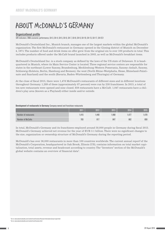## <span id="page-8-0"></span>ABOUT MCDONALD'S GERMANY

#### Organizational profile

GRI indicators: DMA economic performance, G4-3, G4-4, G4-5, G4-6, G4-7, G4-8, G4-9, G4-10, G4-13, G4-17, G4-EC1

McDonald's Deutschland Inc., Munich branch, manages one of the largest markets within the global McDonald's organization. The first McDonald's restaurant in Germany opened in the Giesing district of Munich on December 4, 1971. The number of food and drink items on offer grew from the original six to over 100 products in total. This includes products offered under the McCafé brand launched in 2003, as well as McDonald's breakfast items.

McDonald's Deutschland Inc. is a stock company as defined by the laws of the US state of Delaware. It is headquartered in Munich, where its Main Service Center is located. Three regional service centers are responsible for states in the northeast (Lower Saxony, Brandenburg, Mecklenburg-Western Pomerania, Saxony-Anhalt, Saxony, Schleswig-Holstein, Berlin, Hamburg and Bremen), the west (North Rhine-Westphalia, Hesse, Rhineland-Palatinate and Saarland) and the south (Bavaria, Baden-Württemberg and Thuringia) of Germany.

At the close of fiscal 2015, there were 1,478 McDonald's restaurants of different sizes and in different locations throughout Germany. 1,289 of these (approximately 87 percent) were run by 238 franchisees. In 2015, a total of ten new restaurants were opened and nine closed. 859 restaurants have a McCafé. 1,047 restaurants have a children's play area (known as a Playland) either inside and/or outside.

#### Development of restaurants in Germany Company-owned and franchisee restaurants

|                       | 2011 | 2012  | 2013            | 2014  | 2015 |
|-----------------------|------|-------|-----------------|-------|------|
| Number of restaurants | .415 | 1,440 | ,468            | 1,477 | ,478 |
| Number of McCafés     | 783  | 817   | 84 <sub>1</sub> | 862   | 859  |

In total, McDonald's Germany and its franchisees employed around 58,000 people in Germany during fiscal 2015. McDonald's Germany achieved net revenue for the year of EUR 3.1 billion. There were no significant changes to the size, organization or ownership structure of McDonald's Germany during the reporting period.

McDonald's has over 36,000 restaurants in more than 100 countries worldwide. The current annual report<sup>1</sup>of the McDonald's Corporation, headquartered in Oak Brook, Illinois (US), contains information on total market capitalization, total assets, revenue and headcount according to country. The "Investors" section of the McDonald's global website contains an overview of financial data<sup>2</sup>.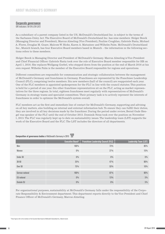#### Corporate governance

GRI indicators: G4-34 & G4-LA12

As a subsidiary of a parent company listed in the US, McDonald's Deutschland Inc. is subject to the terms of the Sarbanes-Oxley Act. The Executive Board of McDonald's Deutschland Inc. has nine members: Holger Beeck (Managing Director and President), Marcus Almeling (Vice President), Pauline Coughlan, Gabriele Fanta, Michael A. Flores, Douglas M. Goare, Malcom W. Hicks, Karen A. Matusinec and Wilhelm Palm. McDonald's Deutschland Inc., Munich branch, has four Executive Board members based in Munich – the information in the following sections refers to these members.

Holger Beeck is Managing Director and President of McDonald's Germany. Marcus Almeling is Vice President and Chief Financial Officer. Gabriele Fanta took over the role of Executive Board member responsible for HR on April 1, 2016. She replaces Wolfgang Goebel, who stepped down from the position at the end of March 2016 at his own request. Wilhelm Palm is the member of the Executive Board responsible for regions and operations.

Different committees are responsible for communication and strategic collaboration between the management of McDonald's Germany and franchisees in Germany. Franchisees are represented by the Franchisee Leadership Council (FLC), comprising twelve members. Six new members (half of the council) are reappointed each year. One of the FLC members is appointed spokesperson for the FLC in line with the council statutes. This position is held for a period of one year. Six other franchisee representatives sit on the FLC, acting as market representatives for the three regions. In total, eighteen franchisees meet regularly with representatives of McDonald's Germany in strategy teams and specialist committees. Their primary task is to actively represent the interests of franchisees in order to optimize the McDonald's system overall.

FLC members act as the first and immediate line of contact for McDonald's Germany, supporting and advising on all key matters, also building an internal and external information hub. To ensure they can fulfill their duties, they are involved in all key decisions made by the franchisor. During the period under review, Bernd Oude Hengel was speaker of the FLC until the end of October 2015. Dominik Neiss took over the position on November 1, 2015. The FLC was regularly kept up to date on sustainability issues. The leadership team (LST) supports the work of the Executive Board and the FLC. The LST includes the directors of all departments.

|                    | <b>Executive Board<sup>3</sup></b> | <b>Franchisee Leadership Council (FLC)</b> | <b>Leadership Team (LST)</b> |
|--------------------|------------------------------------|--------------------------------------------|------------------------------|
|                    |                                    |                                            |                              |
| Men                | 100%                               | 73%                                        | 85%                          |
| Women              | $0\,\%$                            | 27%                                        | 15%                          |
|                    |                                    |                                            |                              |
| Under 30           | $0\%$                              | $0\%$                                      | $0\%$                        |
| $30 - 50$          | 25%                                | 47%                                        | $90\%$                       |
| Over 50            | 75%                                | 53%                                        | 10%                          |
|                    |                                    |                                            |                              |
| German national    | 100%                               | 87%                                        | 90%                          |
| <b>EU</b> national | $0\%$                              | 13%                                        | 5%                           |
| Outside EU         | $0\%$                              | $0\%$                                      | 5%                           |

**Composition of governance bodies** of McDonald's Germany in 2015  $\frac{\text{ASSINER}}{\blacktriangleright}$ 

For organizational purposes, sustainability at McDonald's Germany falls under the responsibility of the Corporate Responsibility & Environment department. This department reports directly to the Vice President and Chief Finance Officer of McDonald's Germany, Marcus Almeling.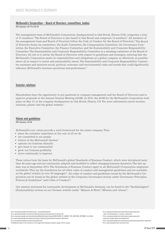#### McDonald's Corporation – Board of Directors, committees, bodies

GRI indicators: G4-14 & G4-34

The management team of McDonald's Corporation, headquartered in Oak Brook, Illinois (US), comprises a total of 15 members.<sup>4</sup> The Board of Directors is also based in Oak Brook and comprises 13 members.<sup>5</sup> All members of the management team and Board of Directors follow the Code of Conduct for the Board of Directors.<sup>6</sup> The Board of Directors forms six committees: the Audit Committee, the Compensation Committee, the Governance Committee, the Executive Committee, the Finance Committee, and the Sustainability and Corporate Responsibility Committee. The Sustainability and Corporate Responsibility Committee is a standing committee of the Board of Directors. Its role is to advise the Board of Directors with respect to guidelines and strategies, ensuring that the McDonald's Corporation meets its responsibilities and obligations as a global company as effectively as possible, above all in respect to social and sustainability issues. The Sustainability and Corporate Responsibility Committee examines and monitors social, political, economic and environmental risks and trends that could significantly influence McDonald's business operations and performance.7

#### Investor relations

Shareholders have the opportunity to put questions to company management and the Board of Directors and to approve proposals at the Annual General Meeting (AGM). In 2015, the AGM for the McDonald's Corporation took place on May 21 at the company headquarters in Oak Brook, Illinois, US. For more information about investor relations, please visit the global website.<sup>8</sup>

#### Values and guidelines

GRI indicators: G4-56

McDonald's core values provide a solid framework for the entire company. They:

- • place the customer experience at the core of all we do
- are committed to our people
- believe in the McDonald's System<sup>9</sup>
- operate our business ethically
- give back to our communities
- grow our business profitably
- • strive continually to improve

These values form the basis for McDonald's global Standards of Business Conduct, which were introduced more than 40 years ago and are continually adapted and modified to reflect changing business dynamics. The last update was in September 2015. The Standards of Business Conduct apply to all McDonald's Corporation employees worldwide. They lay the foundation for all other codes of conduct and management guidelines and are available on the global website in over 40 languages<sup>10</sup>. All codes of conduct and guidelines issued by the McDonald's Corporation can be found on the global website in the Corporate Governance section under Governance Principles, Policies & Guidelines<sup>11</sup> and Codes of Conduct<sup>12</sup>.

Our mission statement for sustainable development at McDonald's Germany can be found in the "Nachhaltigkeit" (Sustainability) section on our German website under "Mission & Werte" (Mission and values)13.

governance-principles-policies-and-guidelines.html

13 Go to: www.mcdonalds.de/uber-uns/mission-werte

<sup>4</sup> Go to: www.aboutmcdonalds.com/content/mcd/our\_company/leadership.html

<sup>5</sup> Go to: www.aboutmcdonalds.com/content/mcd/investors/corporate-governance/board-of-directors.html

<sup>6</sup> Go to: www.aboutmcdonalds.com/content/dam/AboutMcDonalds/Investors/Investor%202014/CODE\_OF\_CONDUCT\_FOR\_DIRECTORS\_SEPTEMBER\_18\_2014.pdf

 $\frac{1}{7}$  Go to: www.aboutmcdonalds.com/content/mcd/investors/corporate-governance/board-committees-charters.htm

<sup>&</sup>lt;sup>8</sup> Go to: www.aboutmcdonalds.com/content/mcd/investors.htm

 $9$  The McDonald's system is often described as a three-legged stool comprising franchisees, suppliers and the company.

<sup>&</sup>lt;sup>11</sup> Go to: www.aboutmcdonalds.com/mcd/investors/corporate-governance

<sup>12</sup> Go to: www.aboutmcdonalds.com/mcd/investors/corporate-governance/codes-of-conduct.html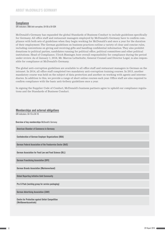#### **Compliance**

GRI indicators: DMA Anti-corruption, G4-56 & G4-SO4

McDonald's Germany has expanded the global Standards of Business Conduct to include guidelines specifically for Germany. All office staff and restaurant managers employed by McDonald's Germany have to confirm compliance with both sets of guidelines when they begin working for McDonald's and once a year for the duration of their employment. The German guidelines on business practices outline a variety of clear and concise rules, including conventions on giving and receiving gifts and handling confidential information. They also prohibit donations to political parties, candidates running for political office, political committees and other political institutions. Head of Compliance, Ulrich Bissinger, bore overall responsibility for compliance during the period under review. As of January 1, 2016, Mr. Marcus Lettschulte, General Counsel and Director Legal, is also responsible for compliance at McDonald's Germany.

The global anti-corruption guidelines are available to all office staff and restaurant managers in German on the intranet. In 2014, all office staff completed two mandatory anti-corruption training courses. In 2015, another mandatory course was held on the subject of data protection and another on working with agents and intermediaries. In addition to this, we provide a range of short online courses each year. Office staff are also required to confirm compliance with the basic anti-bribery guidelines once a year.

In signing the Supplier Code of Conduct, McDonald's business partners agree to uphold our compliance regulations and the Standards of Business Conduct.

#### Memberships and external obligations

GRI indicators: G4-15 & G4-16

Overview of key memberships McDonald's Germany

American Chamber of Commerce in Germany

Confederation of German Employer Organizations (BDA)

German Federal Association of the Foodservice Sector (BdS)

German Association for Food Law and Food Science (BLL)

German Franchising Association (DFV)

German Brands Association (Markenverband)

Global Reporting Initiative Gold Community

Pro-S-Pack (working group for service packaging)

German Advertising Association (ZAW)

Centre for Protection against Unfair Competition (Wettbewerbszentrale)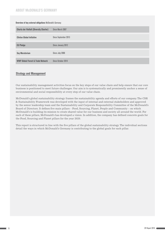#### About McDonald's Germany

| <b>Overview of key external obligations McDonald's Germany</b> |                      |  |
|----------------------------------------------------------------|----------------------|--|
| <b>Charta der Vielfalt (Diversity Charter)</b>                 | Since March 2007     |  |
| <b>Clinton Global Initiative</b>                               | Since September 2013 |  |
| <b>EU Pledge</b>                                               | Since January 2012   |  |
| <b>Soy Moratorium</b>                                          | Since July 2006      |  |
| <b>WWF Global Forest &amp; Trade Network</b>                   | Since October 2014   |  |

#### Strategy and Management

Our sustainability management activities focus on the key steps of our value chain and help ensure that our core business is positioned to meet future challenges. Our aim is to systematically and prominently anchor a sense of environmental and social responsibility at every step of our value chain.

McDonald's global sustainability strategy frames the sustainability agenda and efforts of our company. The CSR & Sustainability Framework was developed with the input of internal and external stakeholders and approved by the senior leadership team and the Sustainability and Corporate Responsibility Committee of the McDonald's Board of Directors. It defines five main pillars – Food, Sourcing, Planet, People and Community – on which McDonald's is building its mission to create shared value for our business and society all around the world. For each of these pillars, McDonald's has developed a vision. In addition, the company has defined concrete goals for the Food, Sourcing and Planet pillars for the year 2020.

This report is structured in line with the five pillars of the global sustainability strategy. The individual sections detail the ways in which McDonald's Germany is contributing to the global goals for each pillar.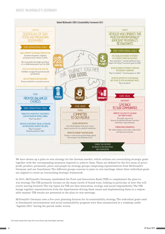

We have drawn up a plan-to-win strategy for the German market, which outlines our overarching strategic goals together with the corresponding measures required to achieve them. These are defined for the five areas of price/ profit, product, promotion, place and people by strategy groups comprising representatives from McDonald's Germany and our franchisees. The different groups convene in plan-to-win meetings, where their individual goals are aligned to create an overarching strategic framework.

In 2015, McDonald's Germany established the Trust and Innovation Bank (TIB) to complement the plan-towin strategy. The TIB primarily focuses on the many facets of brand trust, looking in particular at how this will evolve moving forward. The top topics for TIB are thus innovation, ecology and social responsibility. The TIB brings together representatives from the departments driving these issues and implementing them in a responsible manner. TIB results are presented at the plan-to-win meetings.

McDonald's Germany uses a five-year planning horizon for its sustainability strategy. The individual goals used to benchmark environmental and social sustainability progress were thus summarized in a roadmap under "Agenda 2021" during the period under review.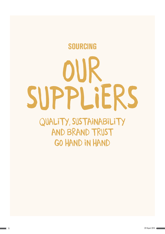# <span id="page-14-0"></span>QUALITY, SUSTAINABILITY AND BRAND TRUST GO HAND IN HAND Our suppliers sourcing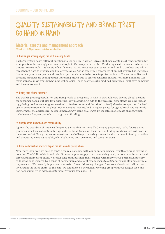## <span id="page-15-0"></span>QUALITY, SUSTAINABILITY AND BRAND TRUST GO HAND IN HAND

#### Material aspects and management approach

GRI indicators: DMA procurement, materials, animal welfare

#### $\rightarrow$  Challenges accompanying the shift in eating habits

Each generation poses different questions to the society in which it lives. High per-capita meat consumption, for example, is an increasingly controversial topic in Germany in particular. Producing meat is a resource-intensive process. For example, it takes significantly more natural resources such as water and land to produce one kilo of meat than it does to produce one kilo of vegetables. At the same time, awareness of animal welfare has increased dramatically in recent years and people expect much more to be done to protect animals. Conventional livestock breeding methods are coming under increasing attack due to ethical concerns. In addition, more and more Germans want to know what impact new technologies – such as genetically modified organisms – will have on people and the environment.

#### $\rightarrow$  Rising cost of raw materials

The world's growing population and rising levels of prosperity in Asia in particular are driving global demand for consumer goods, but also for agricultural raw materials. To add to the pressure, crop plants are now increasingly being used as an energy source (food or fuel) or as animal feed (food or feed). Greater competition for land use, in combination with the global rise in demand, has resulted in higher prices for agricultural raw materials.<sup>1</sup> Furthermore, the agricultural sector is increasingly being challenged by the effects of climate change, which include more frequent periods of drought and flooding.

#### $\rightarrow$  Supply chain innovation and responsibility

Against the backdrop of these challenges, it is vital that McDonald's Germany proactively looks for, tests and promotes new forms of sustainable agriculture. At all times, we focus here on finding solutions that will work in the mass market. Every day, we set ourselves the challenge of making conventional structures in food production and processing more sustainable, while balancing both economic and social interests.

#### $\rightarrow$  Close collaboration at every step of the McDonald's quality chain

Now more than ever, we need to forge close relationships with our suppliers, especially with a view to driving innovation. The McDonald's brand is built on a complex supply chain comprising local, national and international direct and indirect suppliers. We foster long-term business relationships with many of our partners, and every collaboration is inspired by a sense of partnership and a joint commitment to outstanding quality and continual improvement. We can only implement successful, forward-looking changes if we work closely with all partners involved in the value chain. To this end, we established a permanent working group with our largest food and non-food suppliers to address sustainability issues (see page 18).

<sup>1</sup> Results of the "Sustainable McDonald's Germany" research project by Wuppertal Institute for Climate, Environment and Energy. Report from 2013. Unpublished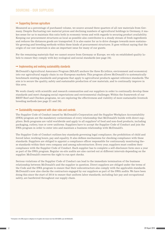#### $\rightarrow$  Supporting German agriculture

Measured as a percentage of purchased volume, we source around three quarters of all raw materials from Germany. Despite fluctuating raw material prices and declining numbers of agricultural holdings in Germany, it makes sense for us to maintain this ratio both in economic terms and with regards to securing product availability. Keeping our procurement structures as local as possible also contributes to a steady stream of fresh ingredients and reduces the distances goods are transported. It is also easier for us to drive changes towards more sustainable growing and breeding methods within these kinds of procurement structures. It goes without saying that the origin of our raw materials is also an important issue for many of our guests.

For the remaining materials that we cannot source from Germany or Europe, we rely on established quality labels to ensure they comply with key ecological and social standards (see page 24).

#### $\rightarrow$  Implementing and evolving sustainability standards

McDonald's Agricultural Assurance Program (MAAP) anchors the three Es (ethics, environment and economics) into our agricultural supply chain in our European markets. This program allows McDonald's to systematically benchmark existing standards and programs that apply to agricultural products against reference standards. The aim is to secure the quality, safety and sustainable production of raw materials, and to continually improve in this area.

We work closely with scientific and research communities and our suppliers in order to continually develop these standards and meet changing social expectations and environmental challenges. Within the framework of our BEST Beef and Chicken programs, we are exploring the effectiveness and viability of more sustainable livestock breeding methods (see page 21 and 24).

#### $\rightarrow$  Sustainability management with clear rules and controls

The Supplier Code of Conduct issued by McDonald's Corporation and the Supplier Workplace Accountability (SWA) program are the mandatory cornerstones of every relationship that McDonald's builds with direct suppliers. Both programs are valid worldwide and apply to all suppliers<sup>2</sup> of food and non-food products, including packaging, cutlery, toys or crew uniforms. Suppliers have to accept the Supplier Code of Conduct and join the SWA program in order to enter into and maintain a business relationship with McDonald's.

The Supplier Code of Conduct outlines key standards governing legal compliance, the prohibition of child and forced labor, working hours, pay and equality. It also defines mechanisms for checking compliance with these standards. Suppliers are obliged to appoint a compliance officer responsible for continuously monitoring these standards within their own company and among subcontractors. Every year, suppliers must confirm their compliance with the Supplier Code of Conduct. Each supplier has to complete a self-disclosure form once a year as part of the SWA program. Regular on-site audits are also carried out at different intervals depending on the supplier. McDonald's reserves the right to run spot checks.

Serious violations of the Supplier Code of Conduct can lead to the immediate termination of the business relationship between McDonald's and the supplier in question. Direct suppliers are obliged under the terms of the Code and the SWA program to ensure that their subcontractors also comply with the applicable standards. McDonald's now also checks the contractors engaged by our suppliers as part of the SWA audits. We have been doing this since the start of 2014 to ensure that uniform labor standards, including fair pay and occupational safety, are hardwired throughout our supply chain.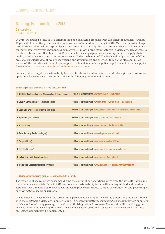#### <span id="page-17-0"></span>Sourcing: Facts and figures 2015

#### **Our suppliers**

GRI indicators: G4-EC9, G4-12

In 2015, we sourced a total of 971 different food and packaging products from 126 different suppliers. Around 75 percent of our entire procurement volume was manufactured in Germany in 2015. McDonald's fosters longterm business relationships inspired by a strong sense of partnership. We have been working with 37 suppliers for more than twenty years now, including many well-known brand manufacturers in Germany such as Develey, Bonduelle, Lieken and Hochland. In 2016, we launched a campaign aimed at making our strict supply chain quality standards more transparent for our guests. Under the banner of "Die McDonald's Qualitätskette" (The McDonald's Quality Chain), we are showcasing our key suppliers and the work they do for McDonald's. We kicked off the initiative with our cheese supplier Hochland, our coffee supplier Segafredo and our bun supplier Lieken. *More at: www.mcdonalds.de/produkte/unsere-zutaten*

For many of our suppliers, sustainability has been firmly anchored in their corporate strategies and day-to-day operations for years now. Click on the links in the following table to find out more.

| <b>1. OSI Food Solutions Germany</b> (Burger patties & chicken nuggets) | $\rightarrow$ More on sustainability at: www.osigroup.com > Sustainability                           |
|-------------------------------------------------------------------------|------------------------------------------------------------------------------------------------------|
| 2. Develey Senf & Feinkost (Sauces and pickles)                         | $\rightarrow$ More on sustainability at: www.develey.de > Wir von Develey / Nachhaltigkeit           |
| 3. Coca-Cola Erfrischungsgetränke (Soft drinks)                         | $\rightarrow$ More on sustainability at: www.coca-cola-deutschland.de > Unternehmen / Nachhaltigkeit |
| 4. Agrarfrost (French Fries)                                            | $\rightarrow$ More on sustainability at: www.agrarfrost.de > Nachhaltigkeit                          |
| 5. Aryzta (Buns)                                                        | $\rightarrow$ More on sustainability at: www.aryzta.com > 0ur Responsibilities                       |
| <b>6. Seda Germany (Product packaging)</b>                              | $\rightarrow$ More on sustainability at: www.seda-germany.de > Umwelt                                |
| <b>7. Danpo (Chicken)</b>                                               | $\rightarrow$ More on sustainability at: www.danpo.dk > Animal Welfare                               |
| 8. Hochland (Cheese)                                                    | $\rightarrow$ More on sustainability at: www.hochland-group.com > Verantwortung                      |
| 9. Lieken Brot- und Backwaren (Buns)                                    | $\rightarrow$ More on sustainability at: www.lieken.de > Nachhaltigkeit                              |
| 9. Walter Rau Lebensmittelwerke (Frying oil)                            | $\rightarrow$ More on sustainability at: www.walterrauag.de > Unternehmen / Nachhaltigkeit           |

#### Our ten largest suppliers (according to revenue supplied) 2015

#### $\rightarrow$  Sustainability working group established with key suppliers

The majority of the resources consumed during the course of our operations stems from the agricultural production of our raw materials. Back in 2013, we created a sustainability forum with our largest food and non-food suppliers. Our aim here was to start a continuous improvement process to make the production and processing of our raw materials more sustainable.

In September 2015, we turned this forum into a permanent sustainability working group. The group is affiliated with the McDonald's Germany Supplier Council, a successful platform comprising our most important suppliers, which was formed many years ago to work on optimizing selected processes. The sustainability working group has met twice to date. During this time, it has defined shared goals and – based on this information – outlined projects, which will now be implemented.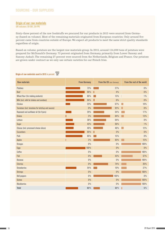#### <span id="page-18-0"></span>**Origin of our raw materials**

GRI indicators: G4-EN1, G4-FP9

Sixty-three percent of the raw foodstuffs we procured for our products in 2015 were sourced from Germany (based on volume). Most of the remaining materials originated from European countries. Only around five percent came from countries outside of Europe. We expect all products to meet the same strict quality standards regardless of origin.

Based on volume, potatoes are the largest raw materials group. In 2015, around 114,000 tons of potatoes were prepared for McDonald's Germany. 73 percent originated from Germany, primarily from Lower Saxony and Saxony-Anhalt. The remaining 27 percent were sourced from the Netherlands, Belgium and France. Our potatoes are grown under contract as we only use certain varieties for our French fries.

#### **Origin of raw materials used in 2015** in percent

| <b>Raw materials</b>                             | <b>From Germany</b> | <b>From the EU</b> (excl. Germany) | From the rest of the world |
|--------------------------------------------------|---------------------|------------------------------------|----------------------------|
| <b>Potatoes</b>                                  | 73%                 | 27 %                               | $0\%$                      |
| <b>Beef</b>                                      | 96%                 | 4%                                 | $0\%$                      |
| Wheat flour (for making products)                | 86%                 | 13%                                | $1\%$                      |
| Milk (incl. milk for shakes and sundaes)         | 94 %                | 6%                                 | $0\%$                      |
| Chicken                                          | 23%                 | 67%                                | 10%                        |
| Tomatoes (incl. tomatoes for ketchup and sauces) | 0%                  | 92%                                | 8%                         |
| Rapeseed and sunflower oil (for fryers)          | 29%                 | 54 %                               | 17%                        |
| <b>Onions</b>                                    | 3%                  | 84 %                               | 13%                        |
| Lettuce                                          | 36 %                | 64 %                               | $0\%$                      |
| Sugar                                            | 43%                 | 56%                                | $1\%$                      |
| Cheese (incl. processed cheese slices)           | 40%                 | 48%                                | 12%                        |
| <b>Cucumbers</b>                                 | 95%                 | 5%<br>П                            | $0\%$                      |
| Pork                                             | 85%                 | 15%                                | $0\%$                      |
| <b>Apples</b>                                    | 2%                  | 83%                                | 15%                        |
| <b>Oranges</b>                                   | $0\%$               | 0%                                 | 100%                       |
| Eggs                                             | 100%                | 0%                                 | $0\%$                      |
| Coffee                                           | $0\%$               | 0%                                 | 100%                       |
| Fish                                             | 0%                  | 43%                                | 57%                        |
| <b>Bananas</b>                                   | $0\%$               | 0%                                 | 100%                       |
| <b>Cherries</b>                                  | $0\%$               | 74%                                | 26%                        |
| <b>Strawberries</b>                              | 54 %                | 19%                                | 27%                        |
| <b>Shrimps</b>                                   | 0%                  | 0%                                 | 100%                       |
| <b>Bell peppers</b>                              | $0\%$               | 100%                               | $0\%$                      |
| Quinoa                                           | 0%                  | 0%                                 | 100%                       |
| <b>Blackberries</b>                              | $0\%$               | 0%                                 | 100%                       |
| <b>Total</b>                                     | 63%                 | 32%                                | 5%                         |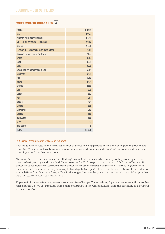#### Sourcing - Our suppliers

## **Volume of raw materials used in 2015** in tons

| <b>Potatoes</b>                                  | 113,565 |
|--------------------------------------------------|---------|
| <b>Beef</b>                                      | 37,476  |
| Wheat flour (for making products)                | 31,946  |
| Milk (incl. milk for shakes and sundaes)         | 27,617  |
| Chicken                                          | 21,521  |
| Tomatoes (incl. tomatoes for ketchup and sauces) | 17,816  |
| Rapeseed and sunflower oil (for fryers)          | 17,183  |
| <b>Onions</b>                                    | 10,910  |
| Lettuce                                          | 10,386  |
| Sugar                                            | 8,395   |
| Cheese (incl. processed cheese slices)           | 6,014   |
| <b>Cucumbers</b>                                 | 5,426   |
| Pork                                             | 5,016   |
| <b>Apples</b>                                    | 3,424   |
| <b>Oranges</b>                                   | 2,885   |
| <b>Eggs</b>                                      | 1,785   |
| Coffee                                           | 1,359   |
| Fish                                             | 1,014   |
| <b>Bananas</b>                                   | 464     |
| <b>Cherries</b>                                  | 376     |
| <b>Strawberries</b>                              | 317     |
| <b>Shrimps</b>                                   | 165     |
| <b>Bell peppers</b>                              | 155     |
| Quinoa                                           | 40      |
| <b>Blackberries</b>                              | 6       |
| <b>TOTAL</b>                                     | 325.261 |

#### $\rightarrow$  Seasonal procurement of lettuce and tomatoes

Raw foods such as lettuce and tomatoes cannot be stored for long periods of time and only grow in greenhouses in winter. We therefore have to source these products from different agricultural geographies depending on the time of year and weather conditions.

McDonald's Germany only uses lettuce that is grown outside in fields, which is why we buy from regions that have the best growing conditions in different seasons. In 2015, we purchased around 10,000 tons of lettuce. 36 percent was sourced from Germany and 64 percent from other European countries. All lettuce is grown for us under contract. In summer, it only takes up to two days to transport lettuce from field to restaurant. In winter, we source lettuce from Southern Europe. Due to the longer distance the goods are transported, it can take up to five days for lettuce to reach our restaurants.

92 percent of the tomatoes we process are sourced from Europe. The remaining 8 percent came from Morocco, Tunisia and the US. We use suppliers from outside of Europe in the winter months (from the beginning of November to the end of April).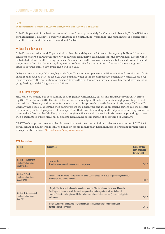#### <span id="page-20-0"></span>Beef

#### GRI indicators: DMA Animal Welfare, G4-FP2, G4-FP5, G4-FP9, G4-FP10, G4-FP11, G4-FP12, G4-FP13, G4-EN1

In 2015, 96 percent of the beef we processed came from approximately 73,000 farms in Bavaria, Baden-Württemberg, Rhineland-Palatinate, Schleswig-Holstein and North Rhine-Westphalia. The remaining four percent came from the Netherlands, Denmark, Poland and Austria.

#### $\rightarrow$  Meat from dairy cattle

In 2015, we sourced around 70 percent of our beef from dairy cattle, 25 percent from young bulls and five percent from heifers. Sourcing the majority of our beef from dairy cattle means that the environmental footprint is distributed between milk, calving and meat. Whereas beef cattle are reared exclusively for meat production and slaughtered after 18 to 24 months, dairy cattle produce milk for around four to five years before slaughter. In order to produce milk, a cow must give birth to a calf.

Dairy cattle are mainly fed grass, hay and silage. This diet is supplemented with nutrient and protein-rich plantbased fodder such as pelleted feed. As with humans, water is the most important nutrient for cattle. Loose housing is considered the best option for housing dairy cattle in Germany as they can move freely and have access to lying, feeding and drinking areas at all times.

#### $\rightarrow$  BEST Beef program

McDonald's Germany has been running the Program for Excellence, Safety and Transparency in Cattle Breeding (BEST Beef) since 2010. The aim of the initiative is to help McDonald's maintain a high percentage of beef sourced from Germany and to promote a more sustainable approach to cattle farming in Germany. McDonald's Germany has been collaborating with partners from the agriculture and meat processing sectors and the scientific community to develop a practical bonus program that rewards sound agricultural practices and improvements in animal welfare and health. The program strengthens the agricultural sector in Germany by providing farmers with a guaranteed buyer. McDonald's benefits from a more secure supply of beef reared in Germany.

BEST Beef comprises three modules. Farmers that meet the criteria of all modules receive a bonus of EUR 0.09 per kilogram of slaughtered meat. The bonus prices are individually listed in invoices, providing farmers with a transparent breakdown. *More at: www.best-programm.de*

#### BEST Beef modules

| <b>Module</b>                                                               | <b>Requirement</b>                                                                                                                                                                                                                                                                                                                                     | <b>Bonus per kilo-</b><br>gram of slaugh-<br>tered weight |
|-----------------------------------------------------------------------------|--------------------------------------------------------------------------------------------------------------------------------------------------------------------------------------------------------------------------------------------------------------------------------------------------------------------------------------------------------|-----------------------------------------------------------|
| <b>Module 1: Husbandry</b><br>(implementation since)<br>October 2012)       | Loose housing or<br>Stanchion barns with at least three months on pasture<br>п                                                                                                                                                                                                                                                                         | 0.03E                                                     |
| <b>Module 2: Feed</b><br>(implementation since)<br><b>August 2012)</b>      | The feed ration per cow comprises at least 60 percent dry roughage and at least 17 percent dry crude fiber<br>٠<br>Percentages must be documented<br>٠                                                                                                                                                                                                 | $0.03 \in$                                                |
| <b>Module 3: Management</b><br>(implementation since)<br><b>April 2012)</b> | Lifecycle: The lifecycle of individual animals is documented. The lifecycle must be at least 40 months.<br>٠<br>The lifecycle is the age at which the cow is slaughtered minus the age at which it has its first calf<br>Hygiene: Protective clothing is available for visitors from outside the farm (e.g. vets) to ensure a hygienic<br>environment. | $0.02 \text{ E}$                                          |
|                                                                             | • If these two lifecycle and hygiene criteria are met, the farm can receive an additional bonus for<br>having a separate calving box                                                                                                                                                                                                                   | $0.01 \in$                                                |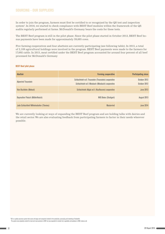#### Sourcing - Our suppliers

In order to join the program, farmers must first be certified to or recognized by the QS test and inspection system3 . In 2016, we started to check compliance with BEST Beef modules within the framework of the QS audits regularly performed at farms. McDonald's Germany bears the costs for these tests.

The BEST Beef program is still in the pilot phase. Since the pilot phase started in October 2012, BEST Beef bonus payments have been made for approximately 39,685 cows.

Five farming cooperatives and four abattoirs are currently participating (see following table). In 2015, a total of 2,189 agricultural holdings were involved in the program. BEST Beef payments were made to the farmers for 17,692 cattle. In 2015, meat certified under the BEST Beef program accounted for around four percent of all beef processed for McDonald's Germany

#### BEST Beef pilot phase

| <b>Abattoir</b>                           | <b>Farming cooperative</b>                            | <b>Participating since</b> |
|-------------------------------------------|-------------------------------------------------------|----------------------------|
| <b>Alpenrind Traunstein</b>               | Schlachtvieh w.V. Traunstein (Traunstein) cooperative | October 2012               |
|                                           | Schlachtvieh w.V. Miesbach (Miesbach) cooperative     | October 2012               |
| <b>Vion Buchlohe (Moksel)</b>             | Schlachtvieh Allgäu w.V. (Kaufbeuren) cooperative     | <b>June 2013</b>           |
| <b>Bayreuther Fleisch (Müllerfleisch)</b> | NVG Botex (Stuttgart)                                 | August 2013                |
| Jade Schlachthof Wilhelmshafen (Tönnies)  | <b>Masterrind</b>                                     | June 2014                  |

We are currently looking at ways of expanding the BEST Beef program and are holding talks with dairies and the retail sector. We are also evaluating feedback from participating farmers to factor in their needs wherever possible.

<sup>3</sup> QS is a quality assurance system that covers all stages and companies involved in the production, processing and marketing of foodstuffs. The system was originally created for meat and meat products in 2001 but was expanded to include fruit, vegetables and potatoes in 2004. www.q-s.de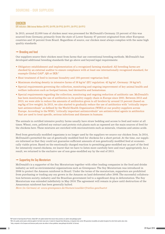#### <span id="page-22-0"></span>**CHICKEN**

#### GRI indicators: DMA Animal Welfare G4-FP2, G4-FP9, G4-FP10, G4-FP11, G4-FP12, G4-FP13

In 2015, around 22,000 tons of chicken meat was processed for McDonald's Germany. 23 percent of this was sourced from Germany, primarily from the state of Lower Saxony. 67 percent originated from other European countries and 10 percent from Brazil. Regardless of source, our chicken meat always complies with the same high quality standards.

#### $\rightarrow$  Breeding and feed

Our suppliers source their chicken meat from farms that use conventional breeding methods. McDonald's has developed additional breeding standards that go above and beyond legal requirements:

- • Obligatory establishment and implementation of a recognized farming standard: All breeding farms are checked by an external auditor to ensure compliance with at least one internationally recognized standard, for example Global GAP<sup>4</sup>, QS or IKB.<sup>5</sup>
- Heat treatment of feed to increase biosafety and 100-percent vegetarian feed.
- Maximum stocking density in intensive farms of 38 kg/m<sup>2</sup> (EU regulation: 42 kg/m<sup>2</sup>, Germany: 39 kg/m<sup>2</sup>).
- • Special requirements governing the collection, monitoring and ongoing improvement of key animal health and welfare indicators such as footpad lesions, heel dermatitis and hematomas.
- • Special requirements regarding the collection, monitoring and ongoing reduction of antibiotic use. McDonald's has been monitoring the use of antibiotics in its poultry supply chain in Europe since 2001. Between 2012 and 2015, we were able to reduce the amounts of antibiotics given to all broilers by around 15 percent (based on mg/kg of live weight). In 2015, we also started to gradually reduce the use of antibiotics with "critically important antimicrobials" as defined by the World Health Organization (WHO) at our poultry suppliers across Europe. According to the WHO, "critically important antimicrobials" are antimicrobial agents in antibiotics that are used to treat specific, serious infections and diseases in humans.

The animals in certified intensive poultry farms usually have straw bedding and access to feed and water at all times. Wheat, corn, pelleted soy extract and protein-rich plants such as rapeseed are the main sources of feed for the chickens here. These mixtures are enriched with micronutrients such as minerals, vitamins and amino acids.

Feed from genetically modified organisms is no longer used by the suppliers we source our chicken from. In 2014, McDonald's permitted the use of genetically modified feed for chickens for a short period. At the time, our suppliers informed us that they could not guarantee sufficient amounts of non genetically modified feed at economically viable prices. Based on the emotionally charged reaction to permitting gene-modified soy as part of the feed for intensively reared chickens, we learnt that we have to listen more carefully here and react appropriately. As a result, we returned to the exclusive use of non gene-modified soy by the end of 2015.

#### $\rightarrow$  Supporting the Soy Moratorium

McDonald's is a supporter of the Soy Moratorium together with other leading companies in the food and drinks industry as well as environmental organizations such as Greenpeace. The Soy Moratorium was introduced in 2006 to protect the Amazon rainforest in Brazil. Under the terms of the moratorium, supporters are prohibited from purchasing or trading any soy grown in the Amazon on land deforested after 2008. The successful collaboration between society, industry and the Brazilian government led to a significant drop in deforestation. The Soy Moratorium was extended indefinitely in May 2016. The agreement will remain in place until destruction of the Amazonian rainforest has been generally halted.

*More (in German) at: www.greenpeace.de/themen/waelder/fristlos-geschuetzt*

4 GAP stands for Good Agricultural Practice. Global GAP is the global standard that ensures these practices are upheld. www.globalgap.org/de/

<sup>5</sup> IKB is the quality control system uniformly applied in the Dutch meat sector. It stands for Integrale Keten Beheersing, or integrated chain control. IKB quarantees traceability and quality throughout the entire Dutch p

Today, companies in the European and American poultry sector also adhere to these guidelines. www.gefluegel-info.de/ikb/ (in German)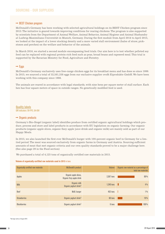#### <span id="page-23-0"></span> $\rightarrow$  BEST Chicken program

McDonald's Germany has been working with selected agricultural holdings on its BEST Chicken program since 2013. The initiative is geared towards improving conditions for rearing chickens. The program is also supported by scientists from the Department of Animal Welfare, Animal Behavior, Animal Hygiene and Animal Husbandry at Ludwig-Maximilians-Universität in Munich, Germany. During the first module from April 2014 to April 2015, we looked at the impact of a lower stocking density and a more varied stall environment (bales of straw, pickstones and perches) on the welfare and behavior of the animals.

In March 2016, we started a second module encompassing feed trials. Our aim here is to test whether pelleted soy feed can be replaced with regional protein-rich feed such as peas, broad beans and rapeseed meal. This trial is supported by the Bavarian Ministry for Food, Agriculture and Forestry.

#### $\rightarrow$  Eggs

McDonald's Germany exclusively uses free-range chicken eggs for its breakfast menu and has done so since 1999. In 2015, we sourced a total of 32,581,338 eggs from our exclusive supplier ovofit Eiprodukte GmbH. We have been working with this company since 1986.

The animals are reared in accordance with legal standards, with nine hens per square meter of stall surface. Each hen has four square meters of space in outside ranges. No genetically modified feed is used.

Quality labels GRI indicators: G4-FP2, G4-EN1

#### $\rightarrow$  Organic products

Germany's Bio-Siegel (organic label) identifies produce from certified organic agricultural holdings which produce, process and store and label products in accordance with EU legislation on organic farming. Our organic products (organic apple slices, organic fizzy apple juice drink and organic milk) are mainly sold as part of our Happy Meals.

In 2015, we also launched the first ever McDonald's burger with 100-percent organic beef in Germany for a limited period. The meat was sourced exclusively from organic farms in Germany and Austria. Sourcing sufficient amounts of meat that met organic criteria and our own quality standards proved to be a major challenge here. (See also page 29 in the Food section)

We purchased a total of 4,125 tons of organically certified raw materials in 2015.

#### Volume of organically-certified raw materials used in 2015 in tons

| Organically certified raw materials | <b>McDonald's product</b>                          | <b>Volume</b> | Organic raw material as a percentage of<br>total raw materials |
|-------------------------------------|----------------------------------------------------|---------------|----------------------------------------------------------------|
| Apples                              | Organic apple slices,<br>Organic fizzy apple drink | 2.367 tons    | 69%                                                            |
| <b>Milk</b>                         | Organic milk<br>Organic yoghurt drink <sup>6</sup> | 1,240 tons    | $4\%$                                                          |
| Beef                                | McB. burger                                        | 452 tons      | $1\%$                                                          |
| <b>Strawberries</b>                 | Organic yoghurt drink <sup>6</sup>                 | 60 tons       | 19%                                                            |
| <b>Blackberries</b>                 | Organic yoghurt drink <sup>6</sup>                 | 6 tons        | 100%                                                           |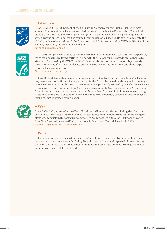#### $\rightarrow$  Fish and seafood



As of October 2011, 100 percent of the fish used in Germany for our Filet-o-Fish offering is sourced from sustainable fisheries, certified in line with the Marine Stewardship Council (MSC) standard. The Marine Stewardship Council (MSC) is an independent, non-profit organization which awards an eco-label for fish sourced from sustainable fisheries. Its aim is to mitigate the global problem of overfishing. In 2015, we procured 1,014 tons in total of MSC-certified fish from Poland, Lithuania, the US and New Zealand. *More at: www.msc.org/de*

All of the shrimps we offered as part of our Monopoly promotion were sourced from responsibly managed aquaculture farms certified in line with the Aquaculture Stewardship Council (ASC) standard. Endorsed by the WWF, the label identifies fish farms that act responsibly towards the environment, offer their employees good and secure working conditions and show respect towards local communities. *More at: [www.asc-aqua.org](http://www.asc-aqua.org/index.cfm?lng=5)*

In May 2016, McDonald's and a number of other providers from the fish industry signed a voluntary agreement to limit their fishing activities in the Arctic. McDonald's also agreed to no longer source cod from areas in the north of the Barents Sea previously covered by ice. This move comes in response to a call-to-action from Greenpeace. According to Greenpeace, around 70 percent of Atlantic cod sold worldwide comes from the Barents Sea. As a result of climate change, fishing fleets have been able to expand into new areas that were previously covered by sea ice and, as a result, are not protected by legislation.



#### $\rightarrow$  Coffee

Since 2008, 100 percent of our coffee is Rainforest Alliance certified (excluding decaffeinated coffee). The Rainforest Alliance Certified™ label is awarded to plantations that meet stringent standards for sustainable agricultural practices. We purchased a total of 1,359 tons of coffee from Rainforest Alliance certified plantations in South and Central America in 2015. *More at: www.rainforest-alliance.org/de*

#### $\rightarrow$  Palm nil

In Germany, no palm oil is used in the production of our fries, neither by our suppliers for processing nor in our restaurants for frying. We only use sunflower and rapeseed oil in our frying oil. Palm oil is only used in some McCafé products and breakfast products. We require that our suppliers only use certified palm oil.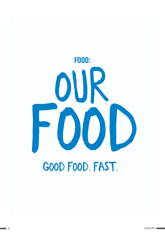<span id="page-25-0"></span>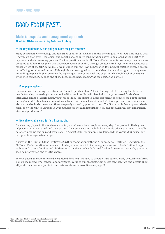## <span id="page-26-0"></span>GOOD FOOD! FAST.

#### Material aspects and management approach

GRI indicators: DMA Customer health & safety, Product & service labeling

#### $\rightarrow$  Industry challenged by high quality demands and price sensitivity

Many consumers view ecology and fair trade as essential elements in the overall quality of food. This means that – now more than ever – ecological and social sustainability considerations have to be placed at the heart of today's raw material sourcing policies. The key question, also for McDonald's Germany, is how many consumers are prepared to follow through on this wider perception of quality through greater brand loyalty or an acceptance of higher prices at the till? In fall 2015, we included our first-ever burger with 100-percent certified organic beef in our offering for a limited period. Although this move aligned with the wishes of some of our guests, many were not willing to pay a higher price for the higher-quality organic beef (see page 29). This high level of price sensitivity with regards to food is one of the biggest challenges facing the food sector as a whole.

#### $\rightarrow$  Changing eating habits

Consumers are becoming more discerning about quality in food. This is fueling a shift in eating habits, with people focusing increasingly on a more health-conscious diet with less industrially processed foods. On our interactive online platform *www.frag.mcdonalds.de*, for example, users frequently post questions about vegetarian, vegan and gluten-free choices. At same time, illnesses such as obesity, high blood pressure and diabetes are also on the rise in Germany, and these are partly caused by poor nutrition.<sup>1</sup> The Sustainable Development Goals released by the United Nations in 2015 underscore the high importance of a balanced, healthy diet and sustainable food production.2

#### $\rightarrow$  More choice and information for a balanced diet

As a leading player in the foodservice sector, we influence how people eat every day. Our product offering can help contribute to a varied and diverse diet. Concrete measures include for example offering more nutritionally balanced product options and variations. In August 2015, for example, we launched the Veggie Clubhouse, our first premium vegetarian burger.

As part of the Clinton Global Initiative (CGI) in cooperation with the Alliance for a Healthier Generation, the McDonald's Corporation has made a voluntary commitment to increase guests' access to fresh fruit and vegetables and to help families and children in particular to select balanced food and beverage options by providing specific information and greater choice.

For our guests to make informed, considered decisions, we have to provide transparent, easily accessible information on the ingredients, content and nutritional value of our products. Our guests can therefore find details about all products at various points in our restaurants and also online (see page 33).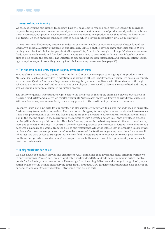#### $\rightarrow$  Always evolving and innovating

We are modernizing our kitchen technology. This will enable us to respond even more effectively to individual requests from guests in our restaurants and provide a more flexible selection of products and product combinations. Every year, our product development team tests numerous new product ideas that reflect the latest nutrition trends. We then organize consumer tests to decide which new products make it into our restaurants.

In 2015, McDonald's Germany became an industry partner in "enable", a nutrition research cluster funded by Germany's Federal Ministry of Education and Research (BMBF). enable develops new strategies aimed at promoting healthier food choices for people at all stages of life, from birth through to old age. Modern convenience foods such as ready meals and fast food do not necessarily have to be at odds with healthier lifestyles. enable aims to help bridge the gap here. The initiative is also utilizing modern information and communication technology to explore ways of promoting healthy food choices among consumers (see page 30).

#### $\rightarrow$  The plan, train, do and review approach to quality, freshness and safety

Food quality and food safety are top priorities for us. Our customers expect safe, high-quality products from McDonald's – each and every day. In addition to adhering to all legal regulations, our suppliers must also comply with our own Quality Assurance Requirements. We regularly check compliance with these standards through scheduled and unannounced audits carried out by employees of McDonald's Germany or accredited auditors, as well as through our annual supplier evaluation process.

The ability to quickly trace produce right back to the first steps in the supply chain also plays a crucial role in ensuring food safety and quality. We regularly simulate "worst case" scenarios, known as withdrawal exercises. Within a few hours, we can seamlessly trace every product or its constituent parts back to the source.

Freshness is not just a priority for our guests. It is also extremely important to us. The methods used to guarantee freshness vary from product to product. The meat for our burgers, for example, is immediately shock frozen once it has been processed into patties. The frozen patties are then delivered to our restaurants without any interruption in the cooling chain. In the restaurants, the burgers are not defrosted before use – they are placed directly on the grill without any additional fat. This flash freezing process is the best way to retain the nutritional value, taste and juiciness of the meat. In contrast, the only way to guarantee the freshness of lettuce is to make sure it is delivered as quickly as possible from the field to our restaurants. All of the lettuce that McDonald's uses is grown outdoors. Our procurement process therefore reflects seasonal fluctuations in growing conditions. In summer, it takes just two days or less to transport lettuce from field to restaurant. In winter, we source our produce from Southern Europe, which results in longer transport routes. In this case, it can take up to five days for lettuce to reach our restaurants.

#### $\rightarrow$  Quality control from field to fork

We have developed quality, service and cleanliness (QSC) guidelines that govern the many different workflows in our restaurants. These guidelines are applicable worldwide. QSC standards define numerous critical control points for food safety in our restaurants. These range from incoming deliveries and storage through food preparation hygiene to the defined shelf/serving times for all products. QSC guidelines in restaurants close the loop in our end-to-end quality control system – stretching from field to fork.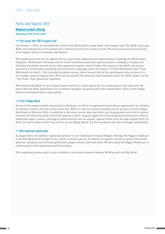#### <span id="page-28-0"></span>Facts and figures 2015

#### Balanced product offering

GRI indicators: G4-PR1, G4-FP2, G4-FP7

#### $\rightarrow$  First burger with 100 % organic beef

On October 1, 2015, we launched the world's first McDonald's burger made with organic beef. The McB. and Long McB. were introduced in two phases for a limited period of six weeks in total. The meat was sourced exclusively from organic farms in Germany and Austria.

The preparation and sale of organic beef is a particular logistical and organizational challenge for McDonald's. Suppliers, McDonald's Germany and all of our franchisees and their operators had to undergo a complex certification procedure carried out by state-approved organic control bodies. The launch of the McB. was accompanied by a multimedia marketing and interactive campaign under the banner of "Darf McDonald's das?" (Can McDonald's do that?). This included an online survey, where around half of the participants were in favor of a new burger made of organic beef. We received around 700 questions and comments about the McB. burger via the "Our Food – Your Questions" platform.

We launched the McB. to see if organic meat could be a viable option for our restaurants in the mid-term. We learnt that the McB. generated a lot of interest amongst our guests and other stakeholders. Sales of the burger, however, developed below expectations.

#### $\rightarrow$  Fruit in Happy Meals

As one of the largest family restaurants in Germany, we feel it is important to provide an opportunity for children to include a portion of fruit in their daily diet. Which is why we started including a fruit product in every Happy Meal back in February 2014. In addition to the main course, side and drink, our young guests were able to choose between the following child-sized fruit options in 2015: Organic apple slices, Fruchtquatsch (fruit puree without additional sugar, aromas, colorings or preservatives) and an organic yoghurt drink (only through August 2015). In 2015, we sold a total of 4,031 tons of fruit in our Happy Meals. All fruit products can also be bought individually.

#### $\rightarrow$  New vegetarian quinoa patty

In August 2015, we added a vegetarian product to our Clubhouse Premium Burger offering. The Veggie Clubhouse is the first McDonald's burger in the world to feature quinoa. In addition to quinoa, which is a grain from South America, the patty also includes grilled bell pepper, onions, leek and herbs. We developed the Veggie Clubhouse in collaboration with vegetarians and flexitarians.

The vegetarian quinoa patty is also available in our honey-mustard Quinoa McWrap and our Big Salad.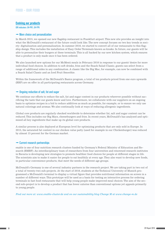#### <span id="page-29-0"></span>Evolving our products

GRI indicators: G4-PR1, G4-FP6

#### $\rightarrow$  More choice and personalization

In March 2015, we opened our new flagship restaurant in Frankfurt airport. This new site provides an insight into what the McDonald's restaurant of the future could look like. The new concept focuses on two key trends in society: digitalization and personalization. In summer 2016, we started to convert all of our restaurants to this flagship design. This includes the installation of Easy Order Terminals known as kiosks. In future, our guests will be able to personalize their burgers at these terminals. This is all backed by our new kitchen system, which ensures that a product is only made once it has been ordered.

We also launched new options for our McMenü meals in February 2016 in response to our guests' desire for more individual food choices. In addition to soft drinks, fries and the Snack Salad Classic, guests can select from a range of additional sides in any combination. A classic like the Big Mac, for example, can now be combined with a Snack Salad Classic and an Iced Fruit Smoothie.

Within the framework of the McDonald's Basics program, a total of ten products priced from one euro upwards (RRP) are on offer in all participating restaurants across Germany.

#### $\rightarrow$  Ongoing reduction of salt, fat and sugar

We continue our efforts to reduce the salt, fat and sugar content in our products wherever possible without sacrificing the taste that our guests know and love. Furthermore, we collaborate with our suppliers on an ongoing basis to optimize recipes in a bid to reduce additives as much as possible, for example, or to ensure we only use natural colorings and aromas. We also continually look at ways of reducing allergenic ingredients.

Global core products are regularly checked worldwide to determine whether fat, salt and sugar content can be reduced. This includes our Big Macs, cheeseburgers and fries. In recent years, McDonald's has analyzed and optimized all key ingredients that make up its global core products.

A similar process is also deployed at European level for optimizing products that are only sold in Europe. In 2015, the saturated fat content in our chicken value patty (used for example in our Chickenburger) was reduced by almost 15 percent for the German market.

#### $\rightarrow$  Current research partnerships

enable is one of four nutrition research clusters funded by Germany's Federal Ministry of Education and Research (BMBF). An interdisciplinary team of researchers from four universities and renowned research institutes in Bavaria is developing new strategies to promote healthier food choices for people at different stages in life. The scientists aim to make it easier for people to eat healthily at every age. They also want to develop new foods, in particular convenience products, that meet the needs of different age groups.

McDonald's Germany is one of several industry partners in the research project. We are taking part in two out of a total of twenty-two sub-projects. At the start of 2016, students at the Technical University of Munich programmed a McDonald's terminal to display a virtual figure that provides nutritional information on screen in a number of different ways. This prototype will be used as a basis for testing an interactive process for ordering terminals in fast food restaurants that will help young people make improved meal choices. The aim of the second sub-project is to develop a product that has fewer calories than conventional options yet appeals primarily to young people.

*Find out more at: www.enable-cluster.de and on our sustainability blog Change M at www.change-m.de*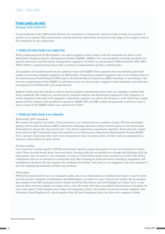#### <span id="page-30-0"></span>Product quality and safety

#### GRI indicators: G4-PR1, G4-PR2, G4-FP5

All participants in the McDonald's System are committed to doing their utmost to help us keep our promise of quality to our guests. This commitment extends from the individuals involved at each stage of our supply chain to the employees in our restaurants.

#### $\rightarrow$  Quality and safety checks in our supply chain

When producing food for McDonald's, our direct suppliers must comply with the standards set down in the McDonald's Supplier Quality Management System (SQMS). SQMS is our own guideline outlining standards for quality assurance and food safety among direct suppliers. It builds on conventional GFSI standards<sup>3</sup> (IFS, BRC, FSSC 22000), complementing these with a number of requirements specific to McDonald's.

All suppliers of standard products are audited in line with SQMS. Only suppliers that successfully pass these audits can become standard suppliers for McDonald's. Promotional product suppliers have to be audited either to the International Food Standard (IFS) and/or the British Retail Consortium (BRC) standard, or according to the ten core requirements of the SQMS. In individual cases, we also accept a supplier's own standards, provided they correspond with McDonald's own requirements.

Regular audits and spot checks as well as annual supplier assessments ensure that our suppliers comply with these standards. The audits are carried out by external auditors and McDonald's employees. The frequency of audits depends on the risk level assigned to individual suppliers as well as the frequency with which they supply goods and the volume of the products in question. SQMS, IFS and BRC audits are generally carried out once a year. A total of 103 SQMS audits were carried out in 2015.

#### $\rightarrow$  Quality and safety checks in our restaurants

#### *McDonald's QSC standards*

We control the quality and safety of the products in our restaurants in a number of ways. We have developed quality, service and cleanliness (QSC) standards outlining numerous critical control points in our restaurants. Food safety is always the top priority here. Our field & operations consultants regularly check and rate compliance with our QSC standards under the umbrella of our Restaurant Operations Improvement Process (ROIP). Over a period of one year, they visit every restaurant at least six times. Some of these visits are announced in advance, while others are spot checks.

#### *Product quality*

Our across-the-counter quality (ATCQ) consultants regularly assess the quality of our core products in restaurants. These include bread, meat, fries and salad, starting with the raw produce in storage and finishing with the end product that we serve to our customers. A total of 1,044 ATCQ checks were carried out in 2015. The ATCQ consultants also act as advisors to restaurants and offer training on technical issues relating to equipment and workflows in kitchens. We also channel the feedback from these visits back to our suppliers, who then channel it into the ongoing optimization of their raw products.

#### *Food safety*

Within the framework of our own company audits, all of our restaurants are checked four times a year by external laboratories. Samples of milkshakes and McSundaes are taken for each of these four audits. Syrup samples and samples from BIC machines (used to make Iced Fruit Smoothies and Iced Frappés) are taken twice a year and all other relevant samples are taken once a year. We work with three accredited laboratories in Germany. In total, just under 37,000 samples were taken and analyzed in 2015. Our system of internal checks complies with Germany's Food Hygiene Act, which requires that all food companies carry out their own company checks.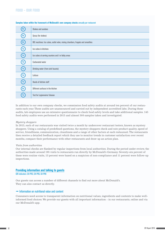#### <span id="page-31-0"></span>Food – Our food

| 4x                | Shakes and sundaes                                                            |
|-------------------|-------------------------------------------------------------------------------|
| $\left(2x\right)$ | Syrup (for shakes)                                                            |
| $\binom{2x}{ }$   | BIC machines: Ice cubes, outlet valve, mixing chambers, frappés and smoothies |
| (1x)              | Ice cubes in kitchens                                                         |
| $\left(1x\right)$ | Ice cubes at serving counters and / or lobby areas                            |
| (1x)              | <b>Carbonated water</b>                                                       |
| $\left(1x\right)$ | Drinking water (from sink faucets)                                            |
| (1x)              | Lettuce                                                                       |
| (1x)              | Hands of kitchen staff                                                        |
| $\binom{2x}{ }$   | Different surfaces in the kitchen                                             |
| 1x                | Test for Legionnaires' disease                                                |

#### Samples taken within the framework of McDonald's own company checks annually per restaurant

In addition to our own company checks, we commission food safety audits at around ten percent of our restaurants each year. These audits are unannounced and carried out by independent accredited labs. During these audits, lab employees use an extensive questionnaire to check food safety levels and take additional samples. 145 food safety audits were performed in 2015 and almost 500 samples taken and investigated.

#### *Mystery shoppers*

In 2015, each of our restaurants was visited twice a month by undercover restaurant testers, known as mystery shoppers. Using a catalog of predefined questions, the mystery shoppers check and rate product quality, speed of service, friendliness, communication, cleanliness and a range of other factors at each restaurant. The restaurants then receive a detailed feedback report which they use to monitor trends in customer satisfaction over recent months, compare their performance with other restaurants and draw up an action plan.

#### *Visits from authorities*

Our internal checks are flanked by regular inspections from local authorities. During the period under review, the authorities made around 195 visits to restaurants run directly by McDonald's Germany. Seventy-six percent of these were routine visits, 13 percent were based on a suspicion of non-compliance and 11 percent were follow-up inspections.

#### Providing information and talking to guests

GRI indicators: G4-PR3, G4-PR5, G4-PR6

Our guests can access a number of different channels to find out more about McDonald's. They can also contact us directly.

#### $\rightarrow$  Information on nutritional value and content

Consumers need access to transparent information on nutritional values, ingredients and contents to make wellinformed food choices. We provide our guests with all important information – in our restaurants, online and via our McDonald's app.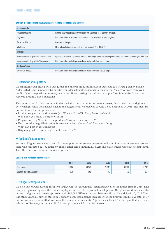#### Food – Our food

#### Overview of information on nutritional values, contents, ingredients and allergens

| In restaurants                           |                                                                                                                              |
|------------------------------------------|------------------------------------------------------------------------------------------------------------------------------|
| Product packaging                        | Graphic showing nutrition information on the packaging of all standard products                                              |
| <b>Tray liners</b>                       | Nutritional values of all standard products on the reverse side of each tray liner                                           |
| Posters in till areas                    | Overview of allergens                                                                                                        |
| Info boards                              | Flyer with nutritional values of all standard products (incl. McCafé)                                                        |
| <b>Internet</b>                          |                                                                                                                              |
| www.mcdonalds.de/produkte/unsere-zutaten | Up-to-date lists of all ingredients, contents and allergens in our standard products and promotional products (incl. McCafé) |
| www.mcdonalds.de/produkte/alle-produkte  | Nutritional values and allergens are listed on the individual product pages                                                  |
| <b>McDonald's app</b>                    |                                                                                                                              |
| Section: All products                    | Nutritional values and allergens are listed on the individual product pages                                                  |

#### $\rightarrow$  Interactive online platform

We maintain open dialog with our guests and answer all questions about our food at *www.frag.mcdonalds.de*. A dedicated team, supported by our different departments, responds to each query. The answers are displayed publically on the platform for everyone to see. Since starting the online dialog platform in mid-2013, we have received around 23,000 questions.

This interactive platform helps us find out what issues are important to our guests, fans and critics and gives us better insights into their needs, wishes and suggestions. We received around 3,600 questions in 2015. The most important issues for our guests were:

- Product suggestions and requests (e.g. When will the Big Tasty Bacon be back? Why don't you make a burger with...?)
- Preparation (e.g. What is in the products? How are they prepared?)
- • Nutrition/diet (e.g.What products are vegetarian / gluten-free? I have an allergy. What can I eat at McDonald's?)
- Origin (e.g. Where do the ingredients come from?)

#### $\rightarrow$  McDonald's guest service

McDonald's guest service is a central contact point for customer questions and complaints. Our customer service team was contacted 62,702 times by phone, letter and e-mail in 2015. Around half of these were guest complaints. The other half were specific queries or praise.

#### Contacts with McDonald's guest service

|                            | 2011        | 2012   | 2013   | 2014   | 2015   |
|----------------------------|-------------|--------|--------|--------|--------|
| <b>Total contacts</b>      | 73,034      | 74.946 | 71,015 | 69.978 | 62,702 |
| Contacts per 100,000 guest | 100<br>L.L. | 12,8   | 12,9   | 13,6   | L, L   |

#### $\rightarrow$  "Burger Battle" promotion

We held our crowd sourcing initiative "Burger Battle" (previously "Mein Burger") for the fourth time in 2015. This campaign gives our guests the chance to play an active role in product development. Our guests and fans used the online configurator to create approximately 190,000 different burgers between March 15 and April 15, 2015. Unlike other years, all sixteen states in Germany competed against each other for the first time in 2015. A total of 17 million votes were submitted to choose the winners in each state. A jury then selected four burgers that went on sale across Germany in summer 2015 in two phases, each lasting two weeks.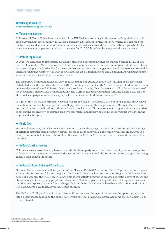#### <span id="page-33-0"></span>Advertising to children

GRI indicators: DMA Marketing, G4-PR7, G4-SO1

#### $\rightarrow$  Voluntary commitment

In Europe, McDonald's has been a member of the EU Pledge, a voluntary initiative for self-regulation in children's advertising, since January 2012. This agreement also applies to McDonald's Germany. You can read the Pledge's rules and annual monitoring report at *www.eu-pledge.eu*. An external organization regularly checks whether member companies comply with the rules. In 2015, McDonald's Germany met all requirements.

#### $\rightarrow$  Books in Happy Meals

In 2015, we continued to implement our Happy Meal book promotion, which we started back in 2012. For two four-week periods in March and August, children and adolescents were able to choose from eight different books with every Happy Meal order. For four weeks in November 2015, our young guests could choose one of seven different Ravensburger games to go with their Happy Meals. 6.1 million books and 2.9 million Ravensburger games were distributed during the period under review.

The temporary book promotions are very popular among our guests. A total of 27.8 million books have been distributed since the initiative started in 2012. According to a recent study, 71 percent of all children in Germany between the ages of 4 and 13 have at least one book from a Happy Meal. 78 percent of all children are aware of the McDonald's Happy Meal book promotion.5 The German Reading Foundation (Stiftung Lesen) rates McDonald's book campaign as an ideal, everyday vehicle to incentive children to read more.6

In light of this, we have continued to develop our Happy Meals. As of April 2016, our young guests always have the option to choose a book as part of their Happy Meal instead of the toy promotions. McDonald's Germany donates 10 cents to the Rainforest Alliance for each book chosen. This environmental organization is committed to preserving biodiversity, protecting sensitive ecosystems and improving conditions for people who live in the tropics and subtropics.

#### $\rightarrow$  Family Days

McDonald's Germany launched its Family Days in 2015. On these days, participating restaurants offer a range of different activities such as bouncy castles, soccer goal shooting walls and events with local clubs. Over 900 Family Days were held in our restaurants in Germany in 2015. In 2016, we have fine-tuned and continued this initiative.

#### $\rightarrow$  McDonald's birthday parties

596 restaurants across Germany have a separate children's party room. Our trained employees on site organize children's parties on request. These include age-appropriate games and also restaurant tours that give our young guests a look behind the scenes.

#### → McDonald's Soccer Badge and Player Escorts

McDonald's Germany is an official partner of the German Football Association (DFB). Together, the two organizations offer two successful sport programs. McDonald's Germany has been collaborating with DFB since 2007 to help clubs organize the DFB Soccer Badge. This sports activity program is designed to foster a love of soccer and fitness among children, young people and also adults. Clubs are given the opportunity to incorporate this event into their own sports programs free of charge. To date, almost 24,000 events have been held and around 1.8 million participants have taken advantage of the program.

The McDonald's Player Escort Program gives children between the ages of six and ten the opportunity to run into a soccer stadium holding the hand of a German national player. This dream has come true for almost 1,500 children to date.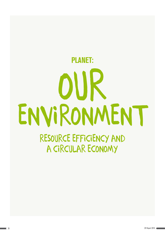# <span id="page-34-0"></span>our ENVIRONMENT planet:

RESOURCE EFFICIENCY AND A CIRCULAR ECONOMY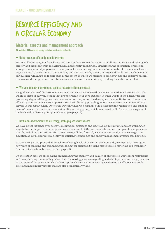## <span id="page-35-0"></span>RESOURCE EFFICIENCY AND A CIRCULAR ECONOMY

#### Material aspects and management approach

GRI indicators: DMA materials, energy, emissions, waste water and waste

#### $\rightarrow$  Using resources efficiently benefits everyone

McDonald's Germany, our franchisees and our suppliers source the majority of all raw materials and other goods directly and indirectly from the agricultural and forestry industries. Furthermore, the production, processing, storage, transport and preparation of our products consume large amounts of other natural resources such as energy. As a result, perceptions of our company and our partners by society at large and the future development of our business will hinge on factors such as the extent to which we manage to efficiently use and conserve natural resources and energy, reduce harmful emissions and close the materials cycle along the entire value chain.

#### $\rightarrow$  Working together to develop and optimize resource-efficient processes

A significant share of the resources consumed and emissions released in connection with our business is attributable to steps in our value chain that are upstream of our core business, in other words in the agriculture and processing stages. Although we only have an indirect impact on the development and optimization of resourceefficient processes here, we step up to our responsibilities by providing innovative impetus to a large number of players in our supply chain. One of the ways in which we coordinate the development, organization and management of these activities is via the sustainability working group, which we created in 2015 under the auspices of the McDonald's Germany Supplier Council (see page 18).

#### $\rightarrow$  Continuous improvements to our energy, packaging and waste balance

We have direct influence over energy consumption, emissions and waste at our restaurants and are working on ways to further improve our energy and waste balance. In 2014, we massively reduced our greenhouse gas emissions by switching our restaurants to green energy. Going forward, we aim to continually reduce energy consumption at our restaurants by deploying efficient technologies and energy management systems (see page 38).

We are taking a two-pronged approach to reducing levels of waste. On the input side, we regularly investigate new ways of reducing and optimizing packaging, for example, by using more recycled materials and fresh fiber from certified sustainable sources (see page 41).

On the output side, we are focusing on increasing the quantity and quality of all recycled waste from restaurants and on optimizing the recycling value chain. Increasingly, we are regarding material input and recovery processes as two sides of the same coin. This holistic approach is crucial for ensuring we develop an effective materials cycle and make improvements that are also economically viable.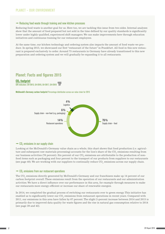#### <span id="page-36-0"></span> $\rightarrow$  Reducing food waste through training and new kitchen processes

Reducing food waste is another goal for us. Here too, we are tackling this issue from two sides. Internal analyses show that the amount of food prepared but not sold in the time defined by our quality standards is significantly lower under highly qualified, experienced shift managers. We can make improvements here through education initiatives and continuous training for our restaurant employees.

At the same time, our kitchen technology and ordering system also impacts the amount of food waste we produce. In spring 2015, we showcased our first "restaurant of the future" in Frankfurt. All food in this new restaurant is prepared exclusively to order. Around 75 restaurants in Germany have already transitioned to this new preparation and ordering system and we will gradually be expanding it to all restaurants.

#### Planet: Facts and figures 2015

CO<sub>2</sub>-footprint GRI indicators: G4-FN15, G4-FN16, G4-FN17, G4-FN18

McDonald's Germany carbon footprint Percentage distribution across our value chain for 2015



#### $\rightarrow$  CO<sub>2</sub> emissions in our supply chain

Looking at the McDonald's Germany value chain as a whole, this chart shows that food production (i.e. agriculture and subsequent raw materials processing) accounts for the lion's share of the CO<sub>2</sub> emissions resulting from our business activities (76 percent). Six percent of our  $\mathrm{CO}_2$  emissions are attributable to the production of nonfood items such as packaging and four percent to the transport of our products from suppliers to our restaurants (see page 40). We are working with our suppliers to continually reduce  $\mathrm{CO}_2$  emissions across our supply chain.

#### $\rightarrow$  CO<sub>2</sub> emissions from our restaurant operations

The CO $_{\tiny 2}$  emissions directly generated by McDonald's Germany and our franchisees make up 14 percent of our carbon footprint overall. These emissions result from the operation of our restaurants and our administration activities. We have a direct influence over our performance in this area, for example through measures to make our restaurants more energy-efficient or increase our share of renewable energies.

In 2014, we completed the gradual process of switching our restaurants over to green energy. This initiative has enabled us to significantly lower our  $\mathrm{CO}_2$  emissions from restaurant operations in recent years. Compared with 2011, our emissions in this area have fallen by 67 percent. The slight 2-percent increase between 2014 and 2015 is primarily due to improved data quality for waste figures and the rise in natural gas consumption relative to 2014 (see page 39 and 42).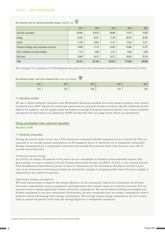#### <span id="page-37-0"></span>Planet – our environment

### CO<sub>2</sub> emissions from our restaurant operations (scope 1 and 2) in tons  $\overline{B}$

|                                                   | 2011    | 2012    | 2013    | 2014    | 2015    |
|---------------------------------------------------|---------|---------|---------|---------|---------|
| <b>Electricity consumption</b>                    | 294,807 | 203,237 | 99,896  | 17,379  | 15,925  |
| Heating                                           | 64,581  | 64,611  | 71,795  | 58,297  | 62,933  |
| Coolant                                           | 11,793  | 10,922  | 11,157  | 11,032  | 10,741  |
| Restaurant buildings, water consumption and waste | 10,050  | 11,175  | 10,262  | 10,408  | 10,737  |
| Fleet, air kilometers and office buildings        | 7,122   | 6,589   | 5,197   | 4,565   | 3,926   |
| Staff travel                                      | 33,905  | 34,731  | 35,371  | 35,929  | 35,745  |
| <b>Total</b>                                      | 422,257 | 331,265 | 233,679 | 137,609 | 140,006 |

The average CO<sub>2</sub> emissions of 0.28 kilograms per guest from our restaurants remained at the same level as 2014.

#### **CO<sub>2</sub>** emissions (scope 1 and 2) per restaurant visit in quest count/kilogram

| 2011 | 2012 | 2013 | 2014         | 2015         |
|------|------|------|--------------|--------------|
| 0.71 | 0.57 | 0.43 | 0.07<br>U.ZI | n nn<br>U.ZO |

#### $\rightarrow$  Calculation method

We use a carbon footprint calculator that McDonald's European markets have been using to analyze their carbon footprints since 2009. Figures for restaurant operations are primarily based on country-specific emissions factors. Figures for logistics and the supply chain are based on average European emissions factors. Our carbon footprint calculation for this report was audited by KPMG for the first time (see page 64 for details on calculation).

#### Energy consumption from restaurant operations

GRI indicators: G4-EN3

#### $\rightarrow$  Electricity consumption

During the period under review, our 1,478 restaurants consumed 534,986 megawatt hours of electricity. This corresponds to an average annual consumption of 362 megawatt hours of electricity for a comparable restaurant.<sup>1</sup> Energy consumption for a comparable restaurant was around three percent lower than the prior year and 12 percent lower than 2011.

#### *100-percent green energy*

As of 2014, we obtain 100 percent of the power for our restaurants in Germany from renewable sources. The green energy we source complies with the German Renewable Energy Act (EEG). In 2015, it was sourced entirely from Scandinavian hydroelectric power. A mere 37 restaurants are not included in this figure (around 2.5 percent of all restaurants in Germany) as these are located for example in shopping malls where the power supply is organized by the respective operator.

#### *Optimizing energy consumption*

We work continuously to improve the energy efficiency of our restaurants. Almost all restaurants record their electricity consumption using an automatic metering system that records values at 15-minute intervals. The restaurants receive regular appraisals of their electricity consumption. We use the latest building technologies and kitchen equipment in our new restaurants. Furthermore, all new restaurants have an energy consumption control system to check and manage their energy consumption. The average annual energy consumption for new restaurants is around 34 percent lower than the average figure for a comparable restaurant.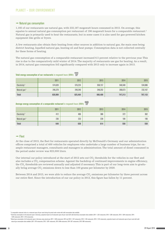#### $\rightarrow$  Natural gas consumption

1,192 of our restaurants use natural gas, with 232,167 megawatt hours consumed in 2015. On average, this equates to annual natural gas consumption per restaurant of 196 megawatt hours for a comparable restaurant.<sup>2</sup> Natural gas is primarily used to heat the restaurants, but in some cases it is also used for gas-powered kitchen equipment like grills or fryers.

A few restaurants also obtain their heating from other sources in addition to natural gas, the main ones being district heating, liquefied natural gas, heating oil and heat pumps. Consumption data is not collected centrally for these forms of heating.

The natural gas consumption of a comparable restaurant increased 6.5 percent relative to the previous year. This rise is due to the comparatively mild winter of 2014. The majority of restaurants use gas for heating. As a result, in 2014, natural gas consumption fell significantly compared with 2013 only to increase again in 2015.

#### Total energy consumption of our restaurants in megawatt hours (MWh)  $\overline{\mathbf{W}}$

|                          | 2011    | 2012    | 2013    | 2014    | 2015    |
|--------------------------|---------|---------|---------|---------|---------|
| Electricity <sup>3</sup> | 574,620 | 576,224 | 558,157 | 546,540 | 534,986 |
| Natural gas <sup>4</sup> | 246,379 | 249,240 | 248,252 | 200,673 | 232,167 |
| <b>Total</b>             | 820,999 | 825,464 | 806,409 | 747,213 | 767,153 |

#### Average energy consumption of a comparable restaurant in megawatt hours (MWh)  $\overline{Y}$

|                          | 2011 | 2012 | 2013 | 2014 | 2015 |
|--------------------------|------|------|------|------|------|
| Electricity <sup>3</sup> | 412  | 406  | 386  | 372  | 362  |
| Natural gas <sup>4</sup> | 236  | 233  | 228  | 184  | 196  |
| <b>Total</b>             | 648  | 638  | 614  | 556  | 558  |

#### $\rightarrow$  Fleet

At the close of 2015, the fleet for restaurants operated directly by McDonald's Germany and our administration offices comprised a total of 400 vehicles for employees who undertake a large number of business trips, for example restaurant managers, consultants and managers in administration. The total amount of diesel consumed in the period under review was 923,000 liters.

Our internal car policy introduced at the start of 2012 sets out  $\mathrm{CO}_2$  thresholds for the vehicles in our fleet and also includes a CO $_{\tiny 2}$  compensation scheme. Against the backdrop of continued improvements in engine efficiency, the CO $_{\tiny 2}$  thresholds are reviewed annually and adjusted if necessary. This is part of our long-term aim to gradually bring average  $\mathrm{CO}_2$  emissions down to less than 100 grams per kilometer by 2020.

Between 2014 and 2015, we were able to reduce the average  $\mathrm{CO}_2$  emissions per kilometer by three percent across our entire fleet. Since the introduction of our car policy in 2012, this figure has fallen by 11 percent.

 $^2$  A comparable restaurant refers to a restaurant open all year round during the period under review with valid consumption data available.

<sup>3</sup>D14: 1,384 restaurants of all restaurants open in Germany; projection based on all restaurants open all year round with valid electricity consumption data available (2011: 1,322 restaurants; 2012: 1,365 restaurants; 2013: 1,394 restaurants; 2015: 1,416 restaurants).

A Natural gas consumption of all restaurants open in Germany using natural gas (2011: 1,046 restaurants; 2012 and 2013: 1,107 restaurants; 2014: 1,104 restaurants; 2014: 1,104 restaurants; 2014: 1,107 restaurants; 2014: 1, natural gas consumption data available (2011: 979 restaurants, 2012: 1,001 restaurants, 2013: 988 restaurants; 2014: 957 restaurants; 2015: 999 restaurants).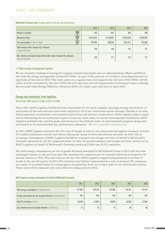#### <span id="page-39-0"></span>Planet – our environment

#### McDonald's Germany fleet Company-owned restaurants and administration

|                                                                                                              | 2012       | 2013       | 2014       | 2015       |
|--------------------------------------------------------------------------------------------------------------|------------|------------|------------|------------|
| ASSURED<br>Number of vehicles<br>$\overline{\mathbf{Y}}$                                                     | 443        | 467        | 468        | 400        |
| ASSURED<br>Kilometers driven                                                                                 | 13,019,533 | 15,158,047 | 16,655,036 | 14,839,922 |
| ASSURED<br><b>Fuel consumption</b> (in liters of diesel)                                                     | 919,999    | 990,636    | 1,001,412  | 922,899    |
| Total company fleet: Average CO <sub>2</sub> emissions<br>(in grams/kilometer)                               | 136        | 130        | 125        | 121        |
| New vehicles purchased during period under review: Average CO <sub>2</sub> emissions<br>(in grams/kilometer) | 130        | 117        | 119        | 117        |

#### $\rightarrow$  New energy management system

We are currently working on having all company-owned restaurants and our administration offices certified in line with the energy management system ISO 50001. As part of this process, we created a cross-departmental energy team at the start of 2016. This team meets on a regular basis and supports the roll-out of ISO 50001. Certification will be concluded by the end of 2016. We will then have met all requirements of Germany's Law on Energy Services and other Energy Efficiency Measures (EDL-G), which came into force in April 2015.

#### Energy and emissions from logistics

#### GRI indicators: DMA transport, G4-EN4, G4-EN17, G4-EN30

Since 1981, HAVI Logistics GmbH has been responsible for the multi-supplier sourcing, storage and delivery of practically all the food and non-food items required by all of our restaurants across Germany. Thanks to its committed approach to systematic environmental protection and resource conservation, HAVI Logistics plays a major role in minimizing the environmental impact across our value chain. In annual environmental statements, HAVI Logistics publishes the concrete goals and measures it has defined under its environmental program along with movements in its environmental key performance indicators. *More at: [www.havi-logistics.com](http://havi-logistics.com/DE/Content/TOPNavigation/Unternehmen/Nachhaltigkeit/Index.asp)*

In 2015, HAVI Logistics delivered 431,551 tons of freight in total to our restaurants throughout Germany. Around 13.6 million kilometers overall were driven during the course of these distribution activities. In 2015, the total energy consumption of HAVI Logistics GmbH for transport and storage activities on behalf of McDonald's Germany amounted to 113,157 megawatt hours. In total, the goods transport and storage activities carried out by HAVI Logistics on behalf of McDonald's Germany produced 37,864 tons of  $\mathrm{CO}_2$  emissions.

The total energy consumption per ton of goods delivered amounted to 262 kilowatt hours in 2015 and was thus unchanged relative to the previous year. The resulting  $\rm CO_{2}$  emissions per ton of goods delivered increased by  $10$ percent relative to 2014. This rise is due to the fact that HAVI Logistics stopped using biodiesel in its fleet of trucks in the second quarter of 2014. The situation was further compounded by a rise in material  $\mathrm{CO}_2$  emissions as a result of increased losses of cooling agents, in particular from out-of-date units in two distribution centers. These units will be replaced with more efficient cooling units by 2018.

|                                                                     | 2011    | 2012    | 2013    | 2014    | 2015    |
|---------------------------------------------------------------------|---------|---------|---------|---------|---------|
| <b>Total energy consumption</b> (in megawatt hours)                 | 127,848 | 130,726 | 122,489 | 116,761 | 113,157 |
| Energy consumption per ton of goods delivered (in kilowatt hours)   | 255     | 259     | 263     | 264     | $-262$  |
| Total CO <sub>2</sub> emissions (in tons)                           | 36,036  | 37,903  | 34,968  | 35,585  | 37,864  |
| CO <sub>2</sub> emissions per ton of goods delivered (in kilograms) | 72      | 75      | 75      | 80      | 88      |

#### HAVI Logistics energy consumption on behalf of McDonald's Germany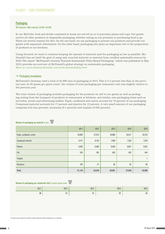#### <span id="page-40-0"></span>**Packaging**

#### GRI indicators: DMA materials, G4-EN1, G4-EN2

In our McCafés, food and drinks consumed in house are served on or in porcelain plates and cups. Our guests receive all other products in disposable packaging, whether eating on our premises or purchasing food to go. There are several reasons for this. On the one hand, we use packaging to present our products and provide our guests with important information. On the other hand, packaging also plays an important role in the preparation of products in our kitchens.

Going forward, we want to continue keeping the amount of material used for packaging as low as possible. Mc-Donald's has set itself the goal of using only recycled material or material from certified sustainable sources by 2020. The report "McDonald's Journey Towards Sustainable Fiber-Based Packaging", which was published in May 2016, provides an overview of McDonald's global strategy on sustainable packaging. *More at: www.aboutmcdonalds.com/mcd/sustainability.html*

#### $\rightarrow$  Packaging breakdown

McDonald's Germany used a total of 45,990 tons of packaging in 2015. This is 3.5 percent less than in the previous year. At 93 grams per guest count<sup>6</sup>, the volume of total packaging per restaurant visit rose slightly relative to the previous year.

The total volume of packaging includes packaging for the products we sell to our guests as well as packaging arising from the transport of products to restaurants or kitchens, and similar, non-packaging items such as serviettes, straws and advertising leaflets. Paper, cardboard and carton account for 70 percent of our packaging. Compound material accounts for 17 percent and plastics for 12 percent. A very small amount of our packaging comprises foil (one percent), aluminum (0.1 percent) and tinplate (0.002 percent).

|                          | 2011   | 2012   | 2013   | 2014   | 2015   |
|--------------------------|--------|--------|--------|--------|--------|
| Paper, cardboard, carton | 34,893 | 37,575 | 35,060 | 33,511 | 32,218 |
| <b>Compound material</b> | 9,121  | 9,129  | 7,950  | 7,553  | 7,670  |
| <b>Plastics</b>          | 6,492  | 6,380  | 6,540  | 6,047  | 5,597  |
| Foil                     | 534    | 105    | 403    | 462    | 444    |
| Tinplate                 |        |        |        |        |        |
| Aluminum                 | 104    | 41     | 38     | 63     | 60     |
| <b>Total</b>             | 51,144 | 53,230 | 49,991 | 47,636 | 45,990 |

#### ASSURED Volume of packaging by material in tons  $\overline{\mathbb{Y}}$

#### ASSURED Volume of packaging per restaurant visit in grams/guest count  $\boxtimes$

| 2011 | 2012 | 2013 | 2014 | 2015     |
|------|------|------|------|----------|
| 86   | 91   |      | 92   | nn<br>υU |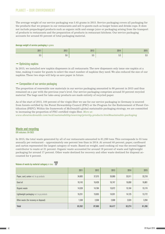#### <span id="page-41-0"></span>Planet – our environment

The average weight of our service packaging was 5.45 grams in 2015. Service packaging covers all packaging for the products that we prepare in our restaurants and sell to guests such as burger boxes and drinks cups. It does not include prepackaged products such as organic milk and orange juice or packaging arising from the transport of products to restaurants and the preparation of products in restaurant kitchens. Our service packaging accounts for around 65 percent of total packaging material.

#### Average weight of service packaging in grams

| 2011 | 2012            | 2013        | 2014                   | 2015 |
|------|-----------------|-------------|------------------------|------|
| ม.ม  | $\sim$ 0<br>ე.ხ | - -<br>່ວ.ວ | F <sub>n</sub><br>ับ.บ | U.U  |

#### $\rightarrow$  Optimizing napkins

In 2015, we installed new napkin dispensers in all restaurants. The new dispensers only issue one napkin at a time, making it easier for guests to select the exact number of napkins they need. We also reduced the size of our napkins. These two steps will help us save paper in future.

#### $\rightarrow$  Composition of our service packaging

The proportion of renewable raw materials in our service packaging amounted to 90 percent in 2015 and thus remained on a par with the previous year's level. Our service packaging comprises around 50 percent recycled material. The bags used for take-away products are made entirely of recycled paper.

As of the start of 2015, 100 percent of the virgin fiber we use for our service packaging in Germany is sourced from forests certified by the Forest Stewardship Council (FSC) or the Program for the Endorsement of Forest Certification (PEFC). Within the framework of McDonald's global sustainable packaging strategy, we are committed to increasing the proportion of FSC-certified virgin fiber. *More at:* 

*www.aboutmcdonalds.com/mcd/sustainability/sourcing/priority-products.html#sustainable-packaging*

#### Waste and recycling

GRI indicators: G4-EN23

In 2015, the total waste generated by all of our restaurants amounted to 81,290 tons. This corresponds to 55 tons annually per restaurant – approximately one percent less than in 2014. At around 40 percent, paper, cardboard and carton represented the largest category of waste. Based on weight, used cooking oil was the second biggest contributor to waste at 21 percent. Organic waste accounted for around 19 percent of waste and lightweight packaging for around 17 percent. Other waste destined for recovery and other waste destined for disposal accounted for 4 percent.

#### Volume of waste by material category in tons  $\boxtimes$

|                                            | 2011   | 2012   | 2013   | 2014   | 2015   |
|--------------------------------------------|--------|--------|--------|--------|--------|
| Paper, card, carton incl. to-go products   | 34,893 | 37,575 | 35,060 | 33,511 | 32,218 |
| Used oil                                   | 16,143 | 16,428 | 16,747 | 16,850 | 16,861 |
| Organic waste                              | 14,528 | 14,784 | 15,072 | 15,164 | 15,174 |
| Lightweight packaging incl. to-go products | 16,251 | 15,655 | 14,931 | 14,125 | 13,772 |
| Other waste (for recovery or disposal)     | 1,538  | 2,558  | 2,608  | 2,624  | 3,264  |
| <b>Total</b>                               | 83,352 | 87,000 | 84,417 | 82,274 | 81,290 |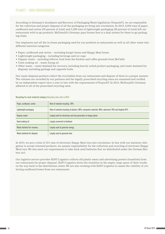According to Germany's Avoidance and Recovery of Packaging Waste legislation (VerpackV), we are responsible for the collection and proper disposal of all the packaging we bring into circulation. In 2015, 9,950 tons of paper, cardboard and carton (30 percent of total) and 5,296 tons of lightweight packaging (38 percent of total) left our restaurants with to-go products. McDonald's Germany pays license fees to a dual system for these to-go packaging items.

Our employees sort all the in-house packaging used for our products in restaurants as well as all other waste into different material categories:

- Paper, cardboard and carton including burger boxes and Happy Meal boxes
- • Lightweight packaging including beverage and ice cups
- • Organic waste including leftover food from the kitchen and coffee grounds from McCafés
- • Used cooking oil waste frying oil
- • Other waste waste destined for recovery, including heavily soiled product packaging, and waste destined for disposal, including garbage and cigarette butts

Our waste disposal partners collect the recyclables from our restaurants and dispose of them in a proper manner. The volumes are recorded by our partners and the legally prescribed recycling rates are examined and verified by an independent expert once a year in line with the requirements of VerpackV. In 2015, McDonald's Germany adhered to all of the prescribed recycling rates.

| Paper, cardboard, carton    | Rate of material recycling: 79%                                                                      |
|-----------------------------|------------------------------------------------------------------------------------------------------|
| Lightweight packaging       | Rate of material recycling of plastics: 69%; composite materials: 66%; aluminum 76% and tinplate 81% |
| Organic waste               | Largely used for electricity and heat generation in biogas plants                                    |
| Used cooking oil            | Largely converted to biodiesel                                                                       |
| Waste destined for recovery | Largely used to generate energy                                                                      |
| Waste destined for disposal | Largely used to generate heat                                                                        |

#### Recycling for each material category Recycling rates refer to 2015

In 2015, we put a total of 331 tons of electronic Happy Meal toys into circulation. In line with our statutory obligation to accept returned products, we assume responsibility for the collection and recycling of electronic Happy Meal toys. We also meet our requirements to take back used batteries that we distributed under the German Battery Act.

Our logistics service provider HAVI Logistics collects old plastic menu and advertising posters (translites) from our restaurants for proper disposal. HAVI Logistics stows the translites in the empty cargo space of their trucks on the way back to the distribution center. We are also working with HAVI Logistics to assess the viability of collecting cardboard boxes from our restaurants.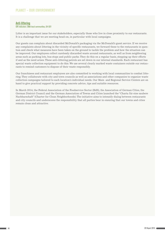#### <span id="page-43-0"></span>Anti-littering

#### GRI indicators: DMA local communities, G4-SO1

Litter is an important issue for our stakeholders, especially those who live in close proximity to our restaurants. It is a challenge that we are meeting head-on, in particular with local campaigns.

Our guests can complain about discarded McDonald's packaging via the McDonald's guest service. If we receive any complaints about littering in the vicinity of specific restaurants, we forward these to the restaurants in question and check what measures have been taken on the ground to tackle the problem and how the situation can be improved. Our employees collect carelessly discarded waste around restaurants, as well as from neighboring areas such as parking lots, bus stops and public parks. They do this on a regular basis, stepping up their efforts if and as the need arises. These anti-littering patrols are set down in our internal standards. Each restaurant has special waste collection equipment to do this. We use several clearly marked waste containers outside our restaurants to remind customers to dispose of their waste responsibly.

Our franchisees and restaurant employees are also committed to working with local communities to combat littering. They collaborate with city and town councils as well as associations and other companies to organize waste collection campaigns tailored to each location's individual needs. Our Main and Regional Service Centers are on hand to give practical support by providing concrete advice, tips and suitable resources.

In March 2014, the Federal Association of the Foodservice Sector (BdS), the Association of German Cities, the German District Council and the German Association of Towns and Cities launched the "Charta für eine saubere Nachbarschaft" (Charter for Clean Neighborhoods). The initiative aims to intensify dialog between restaurants and city councils and underscores the responsibility that all parties bear in ensuring that our towns and cities remain clean and attractive.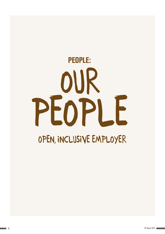# <span id="page-44-0"></span>OPEN, INCLUSIVE EMPLOYER our people people: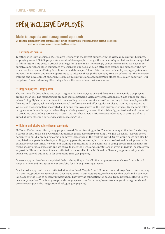## <span id="page-45-0"></span>OPEN, INCLUSIVE EMPLOYER

#### Material aspects and management approach

GRI indicators: DMA market presence, labor/management relations, training and skills development, diversity and equal opportunities, equal pay for men and women, grievances about labor practices

#### $\rightarrow$  Flexibility and fairness

Together with its franchisees, McDonald's Germany is the largest employer in the German restaurant business, employing around 58,000 people. As a result of demographic change, the number of qualified workers is expected to fall in future. This poses a crucial challenge for us too. In an increasingly competitive market, we have to set ourselves apart from other companies by cementing our position as an attractive trainer and employer. The key to success here lies in offering flexible work models, respectful and fair treatment of employees, appropriate remuneration for work and many opportunities to advance through the company. We also believe that the extensive training and development opportunities in our restaurants and administration offices are equally important. Our long-term, forward-looking HR strategy forms the basis of our business success.

#### $\rightarrow$  Happy employees – happy guests

The McDonald's Core Values (see page 11) guide the behavior, actions and decisions of McDonald's employees around the globe. The management promise that McDonald's Germany formulated in 2010 also builds on these values. It highlights our commitment to outstanding customer service as well as our duty to treat employees with fairness and respect, acknowledge exceptional performance and offer regular employee training opportunities. We believe that competent, motivated and happy employees provide the best customer service. By the same token, our guests can immediately tell when they are being served by a team that is friendly, professional and committed to providing outstanding service. As a result, we launched a new initiative across Germany at the start of 2016 aimed at strengthening our service culture (see page 52).

#### $\rightarrow$  Building an inclusive culture through opportunity

McDonald's Germany offers young people three different training paths. The minimum qualification for starting a career at McDonald's is a German Hauptschule (basic secondary schooling). We give all school- leavers the opportunity to build a promising career and prove themselves in the working world. Our training paths can also be completed on a part-time basis, enabling young parents, for example, to balance professional development with childcare responsibilities. We want our training opportunities to be accessible to young people from as many different backgrounds as possible and we strive to meet the needs and expectations of every individual as effectively as possible. This commitment is also reflected in the results of the McDonald's Germany apprenticeship study, which was carried out in 2015 for the second time (see page 51).

Once our apprentices have completed their training they – like all other employees – can choose from a broad range of offers and initiatives in our portfolio for lifelong learning at work.

Our inclusive approach is also reflected at another level. People from 127 countries work together in our company in a positive, productive atmosphere. Over many years in our restaurants, we have seen that work and a common language are the keys to successful integration. They lay the foundation for people from different cultures to live peacefully together. This is why we provide language courses for our employees from migrant backgrounds and proactively support the integration of refugees (see page 48).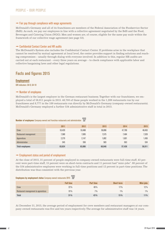#### <span id="page-46-0"></span> $\rightarrow$  Fair pay through compliance with wage agreements

McDonald's Germany and all of its franchisees are members of the Federal Association of the Foodservice Sector (BdS). As such, we pay our employees in line with a collective agreement negotiated by the BdS and the Food, Beverages and Catering Union (NGG). Men and women are, of course, eligible for the same pay scale within the framework of our collective wage agreement (see page 53).

#### $\rightarrow$  Confidential Contact Center and HR audits

The McDonald's System also includes the Confidential Contact Center. If problems arise in the workplace that cannot be resolved by mutual agreement at local level, the center provides support in finding solutions and reaching compromises – usually through dialog with everyone involved. In addition to this, regular HR audits are carried out at each restaurant – every three years on average – to check compliance with applicable labor and collective bargaining laws and other legal regulations.

#### Facts and figures 2015

#### **Employment**

GRI indicators: G4-9, G4-10

#### $\rightarrow$  Number of employees

McDonald's is the largest employer in the German restaurant business. Together with our franchisees, we employed a total of 58,011 people in 2015. 48,700 of these people worked in the 1,289 restaurants run by our franchisees and 8,777 in the 189 restaurants run directly by McDonald's Germany (company-owned restaurants). McDonald's Germany employed a further 534 administrative staff in total in 2015.

|                        | 2011   | 2012   | 2013   | 2014   | 2015   |
|------------------------|--------|--------|--------|--------|--------|
| Crew                   | 53,420 | 53,488 | 50,896 | 47,790 | 48,493 |
| Restaurant management  | 7,580  | 7,695  | 7,575  | 7,484  | 7,528  |
| Apprentices            | 2,279  | 2,147  | .892   | 1,601  | 1,456  |
| Administration         | 545    | 556    | 583    | 563    | 534    |
| <b>Total employees</b> | 63,824 | 63,886 | 60,946 | 57,438 | 58,011 |

#### **Number of employees** Company-owned and franchise restaurants and administration  $\overline{\mathbf{V}}$

#### $\rightarrow$  Employment status and period of employment

At the close of 2015, 31 percent of people employed in company-owned restaurants were full-time staff, 43 percent were part-time staff, 15 percent were on short-term contracts and 11 percent had "mini-jobs". 88 percent of the 534 administrative employees were working in full-time positions and 12 percent in part-time positions. The distribution was thus consistent with the previous year.

#### Employees by employment status Company-owned restaurants 2015

|                                     | <b>Full time</b> | <b>Part time</b> | Short-term | <b>Mini-jobs</b> |
|-------------------------------------|------------------|------------------|------------|------------------|
| Crew                                | 22%              | 49%              | 17%        | 12%              |
| Restaurant management & apprentices | 91%              | $7\%$            | $1\%$      | $1\%$            |
| <b>Total</b>                        | 31%              | 43 %             | 15%        | 11%              |

At December 31, 2015, the average period of employment for crew members and restaurant managers at our company-owned restaurants was five and ten years respectively. The average for administrative staff was 14 years.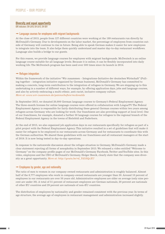#### <span id="page-47-0"></span>Diversity and equal opportunity

GRI indicators: G4-LA10, G4-LA12, G4-SO1

#### $\rightarrow$  Language courses for employees with migrant backgrounds

At the close of 2015, people from 127 different countries were working at the 189 restaurants run directly by McDonald's Germany. Due to developments on the labor market, the percentage of employees from countries outside of Germany will continue to rise in future. Being able to speak German makes it easier for new employees to integrate into the team. It also helps them quickly understand and master day-to-day restaurant workflows. Language also builds a bridge to our guests.

For this reason, we provide language courses for employees with migrant backgrounds. McDeutsch is an online language course suitable for all language levels. Because it is online, it can be flexibly incorporated into daily working life. The McDeutsch program has been used over 500 times since its launch in 2014.

#### $\rightarrow$  Refugee integration

Within the framework of the initiative "Wir zusammen – Integrations-Initiative der deutschen Wirtschaft" (Pulling together – integration initiative organized by German business), McDonald's Germany has committed to making a concrete, long-term contribution to the integration of refugees in Germany. We are stepping up to this undertaking in a number of different ways, for example, by offering application days, jobs and language courses, and also by actively embracing a multi-ethnic, anti-racist, inclusive company culture. *More at: www.wir-zusammen.de/patenschaften/mcdonalds* 

In September 2015, we donated 20,000 German language courses to Germany's Federal Employment Agency. The three-month licenses for online language courses were offered in collaboration with LinguaTV. The Federal Employment Agency is responsible for fairly distributing these general German courses within two years among refugees across Germany who are looking for work. Our franchisees are also providing support at local level. One of our franchisees, for example, donated a further 50 language courses for refugees to the regional branch of the Federal Employment Agency in the towns of Bielefeld and Paderborn.

At the end of 2015, we also organized job application days in our restaurants specifically for refugees as part of a pilot project with the Federal Employment Agency. This initiative resulted in a set of guidelines that will make it easier for refugees to be employed in our restaurants across Germany and for restaurants to coordinate this with the German authorities. We shared these guidelines with our franchisees and all restaurant managers at the start of 2016. It is now being tested in day-to-day operations.

In response to the nationwide discussion about the refugee situation in Germany, McDonald's Germany made a clear statement rejecting all forms of xenophobia in September 2015. We released a video entitled "Welcome to Germany" on the company profile pages of our McDonald's Germany Facebook, Twitter and YouTube sites. In this video, employees and the CEO of McDonald's Germany, Holger Beeck, clearly state that the company sees diversity as a great opportunity. *More at: http://youtu.be/rd\_Yd3SQzXU*

#### $\rightarrow$  Employees by gender, age and nationality

The ratio of men to women in our company-owned restaurants and administration is roughly balanced. Almost half of the 8,777 employees who work in company-owned restaurants are younger than 30. Around 10 percent of employees in our restaurants are over 50 years old. Administrative employees are older on average (only nine percent are under 30). A total of 51 percent of restaurant employees are German nationals, 20 percent are nationals of other EU countries and 29 percent are nationals of non-EU countries.

The distribution of employees by nationality and gender remained consistent with the previous year. In terms of age structure, the average age of employees in restaurant management and administration increased slightly.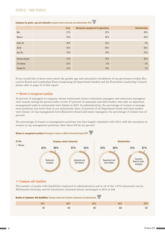#### People – our people

### Employees by gender, age and nationality company-owned restaurants and administration 2015

|                    | <b>Crew</b> | <b>Restaurant management &amp; apprentices</b> | <b>Administration</b> |
|--------------------|-------------|------------------------------------------------|-----------------------|
| Men                | 47%         | 54 %                                           | 50%                   |
| Women              | 53%         | 46 %                                           | 50%                   |
| Under 30           | 48%         | 35%                                            | 9%                    |
| $30 - 50$          | 42%         | 55%                                            | 68%                   |
| Over 50            | 10%         | 10%                                            | 23%                   |
| German national    | 47 %        | 76 %                                           | 93%                   |
| <b>EU</b> national | $22\%$      | $9\%$                                          | 5%                    |
| <b>Outside EU</b>  | 31 %        | 15%                                            | 2%                    |

If you would like to know more about the gender, age and nationality breakdown of our governance bodies [Executive Board and Leadership Team (comprising all department heads)] and the Franchisee Leadership Council, please refer to page 10 of this report.

#### $\rightarrow$  Women in management positions

42 percent of managers in company-owned restaurants (senior restaurant managers and restaurant managers) were women during the period under review. 47 percent of assistants and shift leaders who take on important management tasks in restaurants were female in 2015. In administration, the percentage of women in management positions was lower than in our restaurants. Here, 34 percent of all department heads and team leaders were female. At top management level (Executive Board and senior managers), the percentage of women was 13 percent.

The percentage of women in management positions was thus largely consistent with 2014, with the exception of women in top management positions, their share fell by six percent.

#### **Women in management positions** Percentage of women at different hierarchical levels 2015  $\overline{\mathbb{F}}$



#### $\rightarrow$  Employees with disabilities

The number of people with disabilities employed in administration and in all of the 1,478 restaurants run by McDonald's Germany and its franchisees remained almost unchanged in 2015 at 844.

| ASSURED<br>Number of employees with disabilities Company-owned and franchisee restaurants and administration M |      |      |      |      |  |
|----------------------------------------------------------------------------------------------------------------|------|------|------|------|--|
| 2011                                                                                                           | 2012 | 2013 | 2014 | 2015 |  |
| 740                                                                                                            | 828  | 863  | 838  | 833  |  |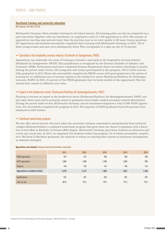#### <span id="page-49-0"></span>Vocational training and university education

GRI indicators: G4-LA9, G4-LA10

McDonald's Germany offers suitable training for all school-leavers. All training paths can also be completed on a part-time basis. Together with our franchisees, we employed a total of 1,456 apprentices in 2015. The number of apprentices was thus nine percent lower than the previous year as we were unable to fill many trainee positions. 457 apprentices and students successfully completed their training with McDonald's Germany in 2015. 339 of these young women and men were subsequently hired. This corresponds to a take-up rate of 74 percent.

#### $\rightarrow$  Specialist in the hospitality services industry (Fachkraft im Gastgewerbe, FKGS)

Apprentices can undertake two years of training to become a specialist in the hospitality services industry (Fachkraft im Gastgewerbe, FKGS). This qualification is recognized by the German Chamber of Industry and Commerce (IHK). Participants must have completed German Hauptschule (basic secondary schooling) to qualify. During the period under review, 338 young men and women participated in this program, 106 of whom successfully graduated in 2015. Those who successfully complete the FKGS course with good grades have the option of training for an additional year to become experts in the foodservice sector (Fachmann/Fachfrau für Systemgastronomie, FASY). In 2015, 31 percent of the FKGS graduates that we hired availed of this opportunity. The rest started their careers in different crew roles.

#### $\rightarrow$  Expert in the foodservice sector (Fachmann/Fachfrau für Systemgastronomie, FASY)

Training to become an expert in the foodservice sector (Fachmann/Fachfrau für Systemgastronomie, FASY) usually takes three years and is primarily aimed at graduates from middle-ranked secondary schools (Realschule). During the period under review, McDonald's Germany and its franchisees employed a total of 995 FASY apprentices. 331 successfully completed the program in 2015. The majority of FASY graduates hired (65 percent) were employed as shift leaders.

#### $\rightarrow$  Combined work/study program

We also offer school-leavers who have taken the university entrance examination and graduates from technical colleges (Fachoberschüler) a combined work/study program that gives them the chance to graduate with a Bachelor of Arts (BA) or Bachelor of Science (BSc) degree. McDonald's Germany pays these students an allowance and covers any course fees. In 2015, we employed 123 students within this program, 20 of whom successfully completed it. We hired 12 Bachelor graduates, the majority of whom are starting their careers in restaurant management as assistant managers.

|                                | 2011   | 2012  | 2013  | 2014  | 2015  |
|--------------------------------|--------|-------|-------|-------|-------|
| <b>FKGS</b> apprentices        | 447    | 513   | 449   | 360   | 338   |
| <b>FASY</b> apprentices        | 1,684  | 1,480 | 1,296 | 1,095 | 995   |
| <b>Students</b>                | 148    | 154   | 147   | 146   | 123   |
| Apprentices & students (total) | 2,279  | 2,147 | 1,892 | 1,601 | 1,456 |
| Qualifications <sup>1</sup>    | 557    | 641   | 635   | 581   | 457   |
| Take-up rate                   | $80\%$ | 76%   | 78%   | 75%   | 74 %  |

#### Apprentices and students Company-owned and franchisee restaurants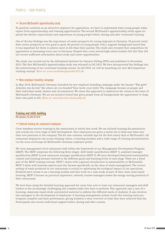#### <span id="page-50-0"></span> $\rightarrow$  Second McDonald's apprenticeship study

To position ourselves as an attractive employer for apprentices, we have to understand what young people today expect from apprenticeship and training opportunities. The second McDonald's apprenticeship study again explored the desires, expectations and experiences of young people before, during and after vocational training.

One of the key findings was the importance of career prospects for young migrants in Germany. 59 percent rated their career prospects as very good or good. 60 percent of young people with a migrant background stated that it was important for them to achieve more in life than their parents. The study also revealed that competition for apprentices is increasing every year in Germany. Despite this, every second high school student felt that they did not receive sufficient information about study and career opportunities.

The study was carried out by the Allensbach Institute for Opinion Polling (IFD) and published in November 2015. The first McDonald's apprenticeship study was released in fall 2013. We have incorporated the findings into the restructuring of our vocational training courses. In fall 2016, we will be launching our new McCompetence training concept. *More at: www.ausbildungsstudie2015.de*

#### $\rightarrow$  New employer branding campaign

In May 2016, McDonald's Germany launched its new employer branding campaign under the banner "Was geht? Arbeiten wie du bist" (So where are you headed? Your work, your style). The campaign focuses on people and their individual needs, desires and circumstances. We chose this approach to underscore the values at the heart of McDonald's Germany: We are an inclusive brand that gives people from all backgrounds the opportunity to forge their own path in life. *More at: www.karriere.mcdonalds.de*

#### Training and skills building

GRI indicators: G4-LA9, G4-LA10

#### $\rightarrow$  Internal training for restaurant employees

Crew members receive training in the restaurants in which they work. We use tailored training documentation and courses for every stage of skill development. New employees are given a starter kit to help ease them into their new positions at the company. The kit also contains valuable tips for the first ninety days at McDonald's. All restaurant employees can access training videos, e-learning modules and a wide range of training documentation via the *www.ourlounge.de* McDonald's Germany employee portal.

We train management-level restaurant staff within the framework of our Management Development Program (MDP). The MDP comprises the following three stages: shift leader qualification (MDP 1), assistant manager qualification (MDP 2) and restaurant manager qualification (MDP 3). We have developed dedicated sustainability content and learning formats tailored to the different goals and learning levels of each stage. These are a fixed part of the MDP training concept. MDP 1 starts with a general introduction to sustainability at McDonald's. MDP 2 deals with business aspects and also focuses specifically on the issue of waste management. The correct sorting of waste produced in our restaurants is crucial to optimizing the ecological impact of our operations. Students have access to an e-learning module and also work on a case study as part of their class-room based learning. MDP 3 focuses on practical experience, whereby trainee managers assess the energy-saving potential of their restaurants.

We have been using the blended learning approach for some time now to train our restaurant managers and shift leaders in the increasingly challenging and complex tasks they have to perform. This approach uses a mix of elearning, classroom-based study and printed material to address the different needs of students. It also involves line managers in the development of employees. A learning management system tracks the training units participants complete and their performance, giving students a clear overview of what they have achieved thus far. Participants also receive individual support before, during and after courses.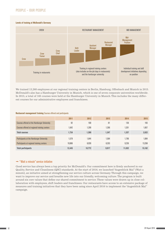#### People – our people

#### Levels of training at McDonald's Germany



We trained 13,268 employees at our regional training centers in Berlin, Hamburg, Offenbach and Munich in 2015. McDonald's also has a Hamburger University in Munich, which is one of seven corporate universities worldwide. In 2015, a total of 165 courses were held at the Hamburger University in Munich. This includes the many different courses for our administrative employees and franchisees.

#### Restaurant management training Courses offered and participants

|                                                    | 2011   | 2012   | 2013  | 2014   | 2015   |
|----------------------------------------------------|--------|--------|-------|--------|--------|
| <b>Courses offered at the Hamburger University</b> | 92     | 100    | 81    | 136    | 165    |
| Courses offered at regional training centers       | 1.642  | 1.299  | 1.266 | 1,201  | 1,857  |
| <b>Total courses</b>                               | 1,734  | 1,399  | 1,347 | 1,337  | 2,022  |
| Participants at the Hamburger University           | 1.579  | 1.844  | 1.564 | 1.796  | 1,894  |
| Participants at regional training centers          | 10.866 | 8,928  | 8,353 | 9,236  | 13,268 |
| <b>Total participants</b>                          | 12,445 | 10.772 | 9,917 | 11.032 | 15,162 |

#### $\rightarrow$  "Wait a minute" service initiative

Good service has always been a top priority for McDonald's. Our commitment here is firmly anchored in our Quality, Service and Cleanliness (QSC) standards. At the start of 2016, we launched "Augenblick Mal" (Wait a minute), an initiative aimed at strengthening our service culture across Germany. Through this campaign, we want to improve our service and breathe new life into our friendly, welcoming culture. The program is built around six core values that define our shared commitment to service. These values were drawn up in close collaboration with employees, shift leaders and franchisees. Our restaurants have access to an extensive package of measures and training initiatives that they have been using since April 2016 to implement the "Augenblick Mal" campaign.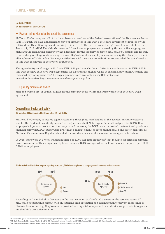#### <span id="page-52-0"></span>Remuneration

GRI indicators: G4-11, G4-EC5, G4-LA2

#### $\rightarrow$  Payment in line with collective bargaining agreements

McDonald's Germany and all of its franchisees are members of the Federal Association of the Foodservice Sector (BdS). As such, we have undertaken to pay our employees in line with a collective agreement negotiated by the BdS and the Food, Beverages and Catering Union (NGG). The current collective agreement came into force on January 1, 2015. All McDonald's Germany and franchisee employees are covered by this collective wage agreement and the framework collective wage agreement for the foodservice sector. McDonald's Germany and its franchisees also pay all apprentices an agreed rate. Regardless of the employment relationship (full-time/part-time), all employees of McDonald's Germany entitled to social insurance contributions are accorded the same benefits in line with the nature of their work or function.

The agreed entry-level wage in 2015 was EUR 8.51 per hour. On June 1, 2016, this was increased to EUR 8.60 in line with the new collective wage agreement. We also rapidly aligned wages in eastern and western Germany and increased pay for apprentices. The wage agreements are available on the BdS website at *www.bundesverband-systemgastronomie.de/tarifvertraege.html*

#### $\rightarrow$  Equal pay for men and women

Men and women are, of course, eligible for the same pay scale within the framework of our collective wage agreement.

#### Occupational health and safety

#### GRI indicators: DMA occupational health and safety, G4-LA6, G4-LA7

McDonald's Germany is insured against accidents through its membership of the accident insurance association for the food and hospitality sector (Berufsgenossenschaft Nahrungsmittel und Gastgewerbe, BGN). If an employee is injured at work or on their way to or from work, the BGN bears the cost of treatment and provides a financial safety net. BGN supervisors are legally obliged to monitor occupational health and safety measures at McDonald's restaurants. Regular scheduled visits and spot checks at the restaurants support efforts here.

In 2015, there were 24.2 work-related injuries per  $1,000$  full-time employees<sup>2</sup> that required reporting in companyowned restaurants. This is significantly lower than the BGN average, which is 36 work-related injuries per 1,000 full-time employees.<sup>3</sup>



#### Work-related accidents that require reporting 2015 per 1,000 full-time employees for company-owned restaurants and administration

According to the BGN<sup>4</sup>, skin diseases are the most common work-related diseases in the services sector. All McDonald's restaurants comply with an extensive skin protection and cleaning plan to prevent these kinds of diseases from occurring. Employees are provided with special skin protection and skincare products to regenerate the skin's protective function.

<sup>3</sup> BGN: "Starker Partner der Betriebe – Jahrbuch Prävention 2014 / 2015" (BGN: Strong partner to businesses – Prevention report 2014/2015). The average BGN value refers to 2013. This was the most up-to-date figure availab

<sup>&</sup>lt;sup>2</sup> We express accident figures in terms of work-related accidents that require reporting per 1,000 full-time employees. The BGN defines a full-time employee as an employee who works 1,600 hours a year.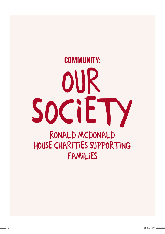# <span id="page-53-0"></span>RONALD MCDONALD HOUSE CHARITIES SUPPORTING FAMILIES our society Community: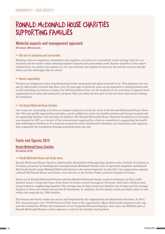# <span id="page-54-0"></span>RONALD McDONALD HOUSE CHARITIES SUPPORTING FAMILIES

#### Material aspects and management approach

GRI indicators: DMA local society

#### $\rightarrow$  Win-win for companies and communities

Working with our employees, franchisees and suppliers, our aim is to successfully create lasting value for our business and for society while reducing negative impacts and unnecessary costs. Earlier chapters in this report outlined how we achieve this balance in our core business, the targets we have set, the actions we have already taken and the challenges that lie ahead.

#### $\rightarrow$  Shared responsibility

"We have an obligation to give something back to the community that gives so much to us." This sentence was coined by McDonald's founder Ray Kroc over 50 years ago. It perfectly sums up his approach to doing business and is still something we believe in today. Our 238 franchisees carry out the majority of our activities at regional level, supporting local clubs and community projects. They are often the first port of call for local institutions looking for assistance.

#### $\rightarrow$  The Ronald McDonald House Charities

Our corporate citizenship activities are shaped at global level by the work of the Ronald McDonald House Charities. This non-profit organization provides a useful addition to state-run health systems and focuses in particular on supporting families with seriously ill children. The Ronald McDonald House Charities foundation in Germany was founded in 1987 as a branch of the international organization, which is committed to supporting the health and wellbeing of children in 42 countries around the world. McDonald's Germany, our franchisees and suppliers have supported the foundation through donations since day one.

#### Facts and figures 2015

#### Ronald McDonald House Charities

GRI indicators: G4-SO1

#### $\rightarrow$  Ronald McDonald Houses and family rooms

Ronald McDonald House Charities (McDonald's Kinderhilfe Stiftung) helps families with critically ill children in Germany, primarily by building and running Ronald McDonald Houses near to specialist hospitals, and Ronald McDonald family rooms (Ronald McDonald Oases) in the actual hospitals. In July 2015, the organization opened a Ronald McDonald House and family room directly in the Dritter Orden pediatric hospital in Passau.

There are 22 Ronald McDonald Houses and five Ronald McDonald family rooms in Germany. In 2015, 6,488 families found a temporary home-from-home in houses located throughout Germany while their children were being treated in neighboring hospitals. The average stay in these houses for families was 18 days and the average distance to their own homes was around 97 kilometers. In addition, the five family rooms provided a place of rest within the hospitals for 7,098 families.

The houses and family rooms are run by staff employed by the organization and dedicated volunteers. In 2015, 830 volunteers gave over 100,000 hours of their time to the organization. Many McDonald's employees also support the foundation. Within the framework of our Corporate Volunteering days, they carry out different jobs at Ronald McDonald Houses in their regions or cook for the families staying there.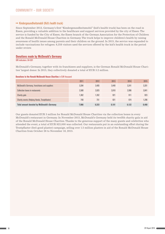#### <span id="page-55-0"></span> $\rightarrow$  Kindergesundheitsmobil (Kid's health truck)

Since September 2012, Germany's first "Kindergesundheitsmobil" (kid's health truck) has been on the road in Essen, providing a valuable addition to the healthcare and support services provided by the city of Essen. The service is funded by the City of Essen, the Essen branch of the German Association for the Protection of Children and the Ronald McDonald House Charities in Germany. The truck helps to improve children's health by raising awareness of health issues among parents and their children on the ground. In 2015, the service was expanded to include vaccinations for refugees. 6,358 visitors used the services offered by the kid's health truck in the period under review.

#### Donations made by McDonald's Germany

GRI indicators: G4-SO1

McDonald's Germany, together with its franchisees and suppliers, is the German Ronald McDonald House Charities' largest donor. In 2015, they collectively donated a total of EUR 3.2 million.

#### Donations to the Ronald McDonald House Charities in EUR thousand

|                                                      | 2011  | 2012  | 2013  | 2014  | 2015  |
|------------------------------------------------------|-------|-------|-------|-------|-------|
| McDonald's Germany, franchisees and suppliers        | 3,284 | 3.405 | 3.449 | 3.241 | 3,201 |
| <b>Collection boxes in restaurants</b>               | 2,580 | 2.825 | 2,810 | 2,996 | 3,041 |
| Charity gala                                         | 1,362 | 1.352 | 921   | 911   | 923   |
| <b>Charity events (Helping Hands, Trostpflaster)</b> | 740   | 751   | 921   | 974   | 1.296 |
| <b>Total amount donated by McDonald's Germany</b>    | 7,966 | 8,333 | 8,101 | 8.122 | 8,460 |

Our guests donated EUR 3 million for Ronald McDonald House Charities via the collection boxes in every McDonald's restaurant in Germany. In November 2015, McDonald's Germany held its twelfth charity gala in aid of the Ronald McDonald House Charities. Thanks to the generous support of the many guests and celebrities who attended the event, a total of EUR 923,000 was collected. Our restaurants put in an outstanding effort during the Trostpflaster (feel-good plaster) campaign, selling over 1.5 million plasters in aid of the Ronald McDonald House Charities from October 26 to November 18, 2015.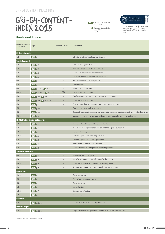## <span id="page-56-0"></span>GRI-G4-CONTENTindex 2015

Corporate Responsibility Report 2015 PDF

**O** Corporate Responsibility Report 2015 At a Glance



*This report was prepared in accordance with the core option of the G4 guideli-nes of the Global Reporting Initiative (GRI).*

#### General standard disclosures

| General standard<br>disclosures | Page                                              | External assurance* Description    |                                                                                                    |
|---------------------------------|---------------------------------------------------|------------------------------------|----------------------------------------------------------------------------------------------------|
| <b>Strategy and analysis</b>    |                                                   |                                    |                                                                                                    |
| $G4-1$                          | $PDF$ p. 3                                        |                                    | Introduction from the Managing Director                                                            |
| <b>Organizational profile</b>   |                                                   |                                    |                                                                                                    |
| $G4-3$                          | $PDF$ p. 9                                        |                                    | Name of the organization                                                                           |
| $G4-4$                          | $PDF$ p. 9                                        |                                    | Primary brands, products, and services                                                             |
| $G4-5$                          | $PDF$ p. 9                                        |                                    | Location of organization's headquarters                                                            |
| $G4-6$                          | $PDF$ p. 9                                        |                                    | Countries where the organization operates                                                          |
| $G4-7$                          | $PDF$ p. 9                                        |                                    | Nature of ownership and legal form                                                                 |
| $G4-8$                          | $PDF$ p. 9                                        | $\overline{\phantom{m}}$           | Markets served                                                                                     |
| $G4-9$                          | <b>PDF</b> p. 9 & 47; $\circledcirc$ p. 3-4       | $\qquad \qquad$                    | Scale of the organization                                                                          |
| $G4-10$                         | <b>PDF</b> S. p, 47, 61; $\circledcirc$ p. 15-16  | ASSURED<br>$\overline{\mathsf{W}}$ | Total number of employees                                                                          |
| $G4-11$                         | <b>PDF</b> p. 53; $\circledcirc$ p. 15-16         | $\overline{a}$                     | Employees covered by collective bargaining agreements                                              |
| $G4-12$                         | <b>PDF</b> p. 18; $\circledcirc$ p. 5-6, 7-8      | ÷                                  | Organization's supply chain                                                                        |
| $G4-13$                         | $PIF_{p.9}$                                       | $\overline{a}$                     | Changes regarding size, structure, ownership, or supply chain                                      |
| $G4-14$                         | <b>PDF</b> p. 11                                  |                                    | Precautionary approach or principle                                                                |
| $G4-15$                         | $PDF$ p. 12                                       |                                    | Externally developed economic, environmental and social charters, principles, or other initiatives |
| $G4-16$                         | $PDF$ p. 12                                       |                                    | Memberships of associations and national or international advocacy organizations                   |
|                                 | <b>Identified material aspects and boundaries</b> |                                    |                                                                                                    |
| $G4-17$                         | $PDF$ p. 9                                        |                                    | Entities included in consolidated financial statement                                              |
| $G4-18$                         | $PDF$ p. 6                                        |                                    | Process for defining the report content and the Aspect Boundaries                                  |
| $G4-19$                         | <b>PDF</b> p. $6$                                 | $\overline{\phantom{a}}$           | List of material aspects                                                                           |
| $G4-20$                         | <b>PDF</b> $\vert p.6$                            |                                    | Material aspects within the organization                                                           |
| $G4-21$                         | <b>PDF</b> $\vert p.6 \vert$                      | ÷                                  | Material aspects outside the organization                                                          |
| $G4-22$                         | $\text{PDF } p. 5$                                |                                    | Effects of restatements of information                                                             |
| $G4-23$                         | $PDF$ p. 6                                        | $\overline{\phantom{a}}$           | Significant changes from previous reporting periods                                                |
| Stakeholder engagement          |                                                   |                                    |                                                                                                    |
| $G4 - 24$                       | <b>PDF</b> $\vert$ p. 8                           |                                    | Stakeholder groups engaged                                                                         |
| $G4-25$                         | $PIF$ p. 8                                        |                                    | Basis for identification and selection of stakeholders                                             |
| $G4-26$                         | $PDF$ p. 8                                        |                                    | Organization's approach to stakeholder engagement                                                  |
| G4-27                           | $PIF$ p. 8                                        |                                    | Key topics and concerns raised through stakeholder engagement                                      |
| <b>Report profile</b>           |                                                   |                                    |                                                                                                    |
| $G4-28$                         | $PDF$ p. 5                                        |                                    | Reporting period                                                                                   |
| G4-29                           | $PDF$ p. 5                                        |                                    | Date of most recent previous report                                                                |
| $G4-30$                         | $PDF$ p. 5                                        | $\overline{a}$                     | Reporting cycle                                                                                    |
| $G4-31$                         | $PDF$ p. 5                                        |                                    | Contact point                                                                                      |
| $G4-32$                         | $PDF$ p. 5                                        |                                    | "In accordance" option                                                                             |
| G4-33                           | $PDF$ p. 5                                        |                                    | External assurance                                                                                 |
| Governance                      |                                                   |                                    |                                                                                                    |
| G4-34                           | <b>PDF</b> $p. 10-11$                             | $\overline{\phantom{a}}$           | Governance structure of the organization                                                           |
| <b>Ethics and integrity</b>     |                                                   |                                    |                                                                                                    |
| $G4-56$                         | <b>PDF</b> p. 11-12                               |                                    | Organization's values, principles, standards and norms of behaviour                                |

\*Indicators marked with »-« have not been audited.

í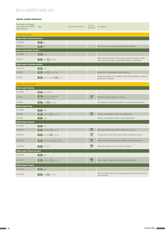#### GRI-G4 content index 2015

#### Specific standard disclosures

| Disclosure on Manage-<br>ment Approach (DMA)<br>and indicators | Page                                                              | Reason for omission | External<br>assurance*                    | Description                                                                                                             |
|----------------------------------------------------------------|-------------------------------------------------------------------|---------------------|-------------------------------------------|-------------------------------------------------------------------------------------------------------------------------|
| Category: Economic                                             |                                                                   |                     |                                           |                                                                                                                         |
| <b>Material aspect: Economic performance</b>                   |                                                                   |                     |                                           |                                                                                                                         |
| G4-DMA                                                         | $PIF$ p. 9                                                        |                     |                                           |                                                                                                                         |
| G4-EC1                                                         | $PDF$ p. 9                                                        |                     | ÷,                                        | Direct economic value generated and distributed                                                                         |
| <b>Material aspect: Market presence</b>                        |                                                                   |                     |                                           |                                                                                                                         |
| G4-DMA                                                         | $PDF$ p. 46                                                       |                     |                                           |                                                                                                                         |
| G4-EC5                                                         | <b>PDF</b> p. 53; $\circledcirc$ p. 15-16                         |                     |                                           | Ratios of standard entry-level wage by gender compared with<br>local minimum wage at significant locations of operation |
| <b>Material aspect: Procurement practices</b>                  |                                                                   |                     |                                           |                                                                                                                         |
| G4-DMA                                                         | $PDF$ p. 16                                                       |                     |                                           |                                                                                                                         |
| $G4-EC9$                                                       | <b>PDF</b> p. 18; $\odot$ p. 5-6, 7-8                             |                     | ÷                                         | Proportion of spending on local suppliers                                                                               |
| $G4-FP2$                                                       | <b>PDF</b> p. 21, 23, 24, 29; $\circledcirc$ p. 5-6               |                     |                                           | Purchased volume in accordance with internationally recognized<br>production standards                                  |
| Category: Environmental                                        |                                                                   |                     |                                           |                                                                                                                         |
| <b>Material aspect: Materials</b>                              |                                                                   |                     |                                           |                                                                                                                         |
| G4-DMA                                                         | <b>PDF</b> p. 16, 36, 41                                          |                     |                                           |                                                                                                                         |
| $G4$ -EN1                                                      | <b>PDF</b> p. 19, 21, 24, 41, 62;<br><b>O</b> p. 5-6, 9-10, 11-12 |                     | ASSURED<br>$\boxtimes$                    | Materials used by weight or volume                                                                                      |
| $G4$ -EN2                                                      | <b>PDF</b> p. 41; $\circledcirc$ p. 11-12                         |                     |                                           | Percentage of materials used that are recycled input materials                                                          |
| <b>Material aspect: Energy</b>                                 |                                                                   |                     |                                           |                                                                                                                         |
| G4-DMA                                                         | $PDF$ p. 36                                                       |                     |                                           |                                                                                                                         |
| $G4$ -EN3                                                      | <b>PDF</b> p. 38, 63; $\circledcirc$ p. 13-14                     |                     | ASSURED<br>$\boxtimes$                    | Energy consumption within the organization                                                                              |
| $G4$ -EN4                                                      | $PDF$ p. 40                                                       |                     | $\frac{1}{2}$                             | Energy consumption outside of the organization                                                                          |
| <b>Material aspect: Emissions</b>                              |                                                                   |                     |                                           |                                                                                                                         |
| G4-DMA                                                         | $PDF$ p. 36                                                       |                     | $\overline{\phantom{a}}$                  |                                                                                                                         |
| G4-EN15                                                        | <b>PDF</b> p. 37, 64; $\circledcirc$ p. 13-14                     |                     | ASSURED<br>区                              | Direct greenhouse gas (GHG) emissions (scope 1)                                                                         |
| G4-EN16                                                        | <b>PDF</b> p. 37, 64; $\circledcirc$ p. 13-14                     |                     | ASSURED<br>$\boxtimes$                    | Energy indirect greenhouse gas (GHG) emissions (scope 2)                                                                |
| G4-EN17                                                        | <b>PDF</b> p. 37, 40, 64; $\circledcirc$ p. 13-14                 |                     | ASSURED<br>$\overline{\mathbb{Y}}$        | Other indirect greenhouse gas (GHG) emissions (scope 3)                                                                 |
| G4-EN18                                                        | $PDF$ p. 37, 64                                                   |                     | ASSURED<br>M                              | Intensity of greenouse gas (GHG) emissions                                                                              |
| <b>Material aspect: Effluents and waste</b>                    |                                                                   |                     |                                           |                                                                                                                         |
| G4-DMA                                                         | $PDF$ p. 36                                                       |                     |                                           |                                                                                                                         |
| G4-EN23                                                        | <b>PDF</b> p. 42, 65; $\circledcirc$ p. 11-12                     |                     | $\frac{\text{ASSUREB}}{\boxed{\text{M}}}$ | Total weight of waste by type and disposal method                                                                       |
| <b>Material aspect: Transport</b>                              |                                                                   |                     |                                           |                                                                                                                         |
| G4-DMA                                                         | $PDF$ p. 40                                                       |                     | ÷                                         |                                                                                                                         |
| G4-EN30                                                        | <b>PDF</b> p. 40; $\circledcirc$ p. 13-14                         |                     |                                           | Environmental impact of transporting products and other goods<br>and materials                                          |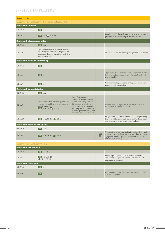#### GRI-G4 content index 2015

| Category: Social                                        |                                                                                                                                                             |                                                                                                                                                                                                                                                        |                            |                                                                                                                                                                                          |  |
|---------------------------------------------------------|-------------------------------------------------------------------------------------------------------------------------------------------------------------|--------------------------------------------------------------------------------------------------------------------------------------------------------------------------------------------------------------------------------------------------------|----------------------------|------------------------------------------------------------------------------------------------------------------------------------------------------------------------------------------|--|
|                                                         | Category: Social - Subcategory: Labor practices and decent work                                                                                             |                                                                                                                                                                                                                                                        |                            |                                                                                                                                                                                          |  |
| <b>Material aspect: Employment</b>                      |                                                                                                                                                             |                                                                                                                                                                                                                                                        |                            |                                                                                                                                                                                          |  |
| G <sub>4</sub> -DMA                                     | $PDF$ p. 46                                                                                                                                                 |                                                                                                                                                                                                                                                        |                            |                                                                                                                                                                                          |  |
| $G4-LA2$                                                | <b>PDF</b> p. 53; $\odot$ p. 15-16                                                                                                                          |                                                                                                                                                                                                                                                        |                            | Benefits provided to full-time employees that are not<br>provided to temporary or part-time employees                                                                                    |  |
| Material aspect: Labor/management relations             |                                                                                                                                                             |                                                                                                                                                                                                                                                        |                            |                                                                                                                                                                                          |  |
| G4-DMA                                                  | $\vert$ PDF $\vert$ p. 46                                                                                                                                   |                                                                                                                                                                                                                                                        |                            |                                                                                                                                                                                          |  |
| $G4-I.A4$                                               | The minimum notice period for operati-<br>onal changes is four weeks (regulated by<br>law, not set down in the existing collective<br>wage agreement).      |                                                                                                                                                                                                                                                        |                            | Minimum notice periods regarding operational changes                                                                                                                                     |  |
| <b>Material aspect: Occupational health and safety</b>  |                                                                                                                                                             |                                                                                                                                                                                                                                                        |                            |                                                                                                                                                                                          |  |
| G4-DMA                                                  | $PDF$ p. 53                                                                                                                                                 |                                                                                                                                                                                                                                                        |                            |                                                                                                                                                                                          |  |
| $G4-LA6$                                                | PDF $p.53$                                                                                                                                                  |                                                                                                                                                                                                                                                        |                            | Type of injury and rates of injury, occupational diseases,<br>lost days, and absenteeism, and total number of work-<br>related fatalities                                                |  |
| $G4-LA7$                                                | $PDF$ p. 53                                                                                                                                                 |                                                                                                                                                                                                                                                        |                            | Workers with high incidence or high risk of diseases<br>related to their occupation                                                                                                      |  |
| <b>Material aspect: Training and education</b>          |                                                                                                                                                             |                                                                                                                                                                                                                                                        |                            |                                                                                                                                                                                          |  |
| G4-DMA                                                  | $PIF$ p. 46                                                                                                                                                 |                                                                                                                                                                                                                                                        |                            |                                                                                                                                                                                          |  |
| $G4-LA9$                                                | Courses for restaurant management last<br>between one and five days. Crew staff are<br>trained on the job.<br><b>PDF</b> p. 50, 51; $\circledcirc$ p. 15-16 | This information is not<br>available at present. We are<br>currently assessing whether<br>it is possible to develop a<br>system capable of accurately<br>recording the annual number<br>of hours spent in training and<br>skills development measures. |                            | Average hours of training per year per employee by<br>gender, and by employee category                                                                                                   |  |
| $G4-LA10$                                               | <b>PDF</b> p. 48, 50, 51; $\circledcirc$ p. 15-16                                                                                                           |                                                                                                                                                                                                                                                        |                            | Programs for skills management and lifelong learning<br>that support the continued employability of employees<br>and assist them in managing career endings                              |  |
| <b>Material aspect: Diversity and equal opportunity</b> |                                                                                                                                                             |                                                                                                                                                                                                                                                        |                            |                                                                                                                                                                                          |  |
| G <sub>4</sub> -DMA                                     | $PIF$ p. 46                                                                                                                                                 |                                                                                                                                                                                                                                                        | $\overline{\phantom{a}}$   |                                                                                                                                                                                          |  |
| $G4-LA12$                                               | <b>PDF</b> p. 10, 48, 61; $\circledcirc$ p. 15-16                                                                                                           |                                                                                                                                                                                                                                                        | ASSURED<br>$\triangledown$ | Composition of governance bodies and breakdown of<br>employees per employee category according to gender,<br>age group, minority group membership, and other<br>indicators of diversity. |  |
| Category: Social - Subcategory: Society                 |                                                                                                                                                             |                                                                                                                                                                                                                                                        |                            |                                                                                                                                                                                          |  |
| <b>Material aspect: Local communities</b>               |                                                                                                                                                             |                                                                                                                                                                                                                                                        |                            |                                                                                                                                                                                          |  |
| G4-DMA                                                  | <b>PDF</b> p. 44 $\&$ 55                                                                                                                                    |                                                                                                                                                                                                                                                        |                            |                                                                                                                                                                                          |  |
| $G4-SO1$                                                | <b>PDF</b> p. 34, 44, 48, 55;<br>$\circledcirc$ p. 9-10, 17-18                                                                                              |                                                                                                                                                                                                                                                        |                            | Percentage of operations with implemented local<br>community engagement, impact assessments, and<br>development programs                                                                 |  |
| <b>Material aspect: Anti-corruption</b>                 |                                                                                                                                                             |                                                                                                                                                                                                                                                        |                            |                                                                                                                                                                                          |  |
| G4-DMA                                                  | $PDF$ p. 12                                                                                                                                                 |                                                                                                                                                                                                                                                        |                            |                                                                                                                                                                                          |  |
| $G4-SO4$                                                | $PDF$ p. 12                                                                                                                                                 |                                                                                                                                                                                                                                                        |                            | Communication and training on anti-corruption poli-<br>cies and procedures                                                                                                               |  |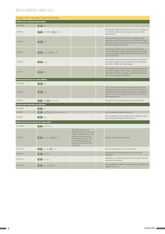#### GRI-G4 content index 2015

| Category: Social - Subcategory: Product responsibility |                                                         |                                                                                                                                                                                                                                   |    |                                                                                                                                                                                                                                                         |
|--------------------------------------------------------|---------------------------------------------------------|-----------------------------------------------------------------------------------------------------------------------------------------------------------------------------------------------------------------------------------|----|---------------------------------------------------------------------------------------------------------------------------------------------------------------------------------------------------------------------------------------------------------|
| <b>Material aspect: Customer health and safety</b>     |                                                         |                                                                                                                                                                                                                                   |    |                                                                                                                                                                                                                                                         |
| G4-DMA                                                 | $PDF$ p. 27                                             |                                                                                                                                                                                                                                   |    |                                                                                                                                                                                                                                                         |
| G4-PR1                                                 | <b>PDF</b> p. 29, 30, 31; $\odot$ p. 9-10               |                                                                                                                                                                                                                                   |    | Percentage of significant product and service categories<br>for which health and safety impacts are assessed for<br>improvement                                                                                                                         |
| $G4-PR2$                                               | $PDF$ p. 31                                             |                                                                                                                                                                                                                                   |    | Total number of incidents of non-compliance with<br>regulations and voluntary codes concerning the health<br>and safety impacts of products and services during their<br>life cycle, by type of outcomes                                                |
| $G4-FP5$                                               | <b>PDF</b> p. 21, 31; $\circledcirc$ p. 9-10            |                                                                                                                                                                                                                                   |    | Percentage of production volume manufactured in<br>sites certified by an independent third party according<br>to internationally recognized food safety management<br>system standards                                                                  |
| G4-FP6                                                 | $PDF$ p. 30                                             |                                                                                                                                                                                                                                   |    | Percentage of total sales volume of consumer products,<br>by product category, that are lowered in saturated fat,<br>trans fats, sodium and added sugars                                                                                                |
| G4-FP7                                                 | $PDF$ p. 29                                             |                                                                                                                                                                                                                                   |    | Percentage of total sales volume of consumer products,<br>by product category, that contain increased nutritious<br>ingredients like fiber, vitamins, minerals, phytochemi-<br>cals or functional food additives                                        |
| <b>Material aspect: Product and service labelling</b>  |                                                         |                                                                                                                                                                                                                                   |    |                                                                                                                                                                                                                                                         |
| G4-DMA                                                 | $PDF$ p. 27                                             |                                                                                                                                                                                                                                   |    |                                                                                                                                                                                                                                                         |
| G4-PR3                                                 | $PDF$ p. 32                                             |                                                                                                                                                                                                                                   |    | Type of product and service information required by<br>the organization's procedures for product and service<br>information and labeling, and percentage of significant<br>product and service categories subject to such informa-<br>tion requirements |
| G4-PR5                                                 | <b>PDF</b> p. 32; $\circledcirc$ p. 3-4, 9-10           |                                                                                                                                                                                                                                   |    | Results of survey measuring customer satisfaction                                                                                                                                                                                                       |
| <b>Material aspect: Marketing communications</b>       |                                                         |                                                                                                                                                                                                                                   |    |                                                                                                                                                                                                                                                         |
| G4-DMA                                                 | $PDF$ p.34                                              |                                                                                                                                                                                                                                   |    |                                                                                                                                                                                                                                                         |
| G4-PR6                                                 | <b>PDF</b> p. 32; $\circledcirc$ p. 3-4, 5-6, 7-8, 9-10 |                                                                                                                                                                                                                                   | ÷. | Sale of banned or disputed products                                                                                                                                                                                                                     |
| G4-PR7                                                 | $PDF$ p. 34                                             |                                                                                                                                                                                                                                   |    | Non-compliance with regulations and voluntary codes<br>concerning marketing communications                                                                                                                                                              |
| Material aspect (sector disclosures): Animal welfare   |                                                         |                                                                                                                                                                                                                                   |    |                                                                                                                                                                                                                                                         |
| G4-DMA                                                 | <b>PDF</b> p. 16, 21, 23                                |                                                                                                                                                                                                                                   |    |                                                                                                                                                                                                                                                         |
| G4-FP9                                                 | <b>PDF</b> p. 19, 21, 23; $\odot$ p. 5-6                | This information is not<br>available at present. The exact<br>number of animals by species<br>and breed type cannot be<br>determined at present. We<br>are assessing whether it is<br>possible to record this data<br>accurately. |    | Animals raised and/or processed                                                                                                                                                                                                                         |
| $G4-FP10$                                              | <b>PDF</b> p. 21, 23; $\circledcirc$ p. 7-8             |                                                                                                                                                                                                                                   |    | Physical alterations and use of anesthetic                                                                                                                                                                                                              |
| G4-FP11                                                | <b>PDF</b> $p. 21, 23$                                  |                                                                                                                                                                                                                                   |    | Animals raised and/or processed by species and<br>breed type                                                                                                                                                                                            |
| G4-FP12                                                | <b>PDF</b> $p. 21, 23$                                  |                                                                                                                                                                                                                                   |    | Antibiotic, anti-inflammatory, hormone and/or growth<br>promotion treatments                                                                                                                                                                            |
| G4-FP13                                                | <b>PDF</b> p. 21, 23; $\circledcirc$ p. 7-8             |                                                                                                                                                                                                                                   |    | Non-compliance related to transportation, handling and<br>slaughter practices                                                                                                                                                                           |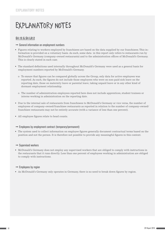## <span id="page-60-0"></span>Explanatory notes

#### G4-10 & G4-LA12

- $\rightarrow$  General information on employment numbers
- • Figures relating to workers employed by franchisees are based on the data supplied by our franchisees.This information is provided on a voluntary basis. As such, some data in this report only refers to restaurants run by McDonald's Germany (company-owned restaurants) and to the administration offices of McDonald's Germany. This is clearly stated in each case.
- • The standard definitions used internally throughout McDonald's Germany were used as a general basis for employment numbers reported by McDonald's Germany.
	- o To ensure that figures can be compared globally across the Group, only data for active employees was reported. As such, the figures do not include those employees who were on non-paid sick leave on the reporting date, those on maternity leave or parental leave, taking unpaid leave or in any other kind of dormant employment relationship.
	- o The number of administration employees reported here does not include apprentices, student trainees or interns working in administration on the reporting date.
- • Due to the internal sale of restaurants from franchisees to McDonald's Germany or vice versa, the number of employees of company-owned/franchisee restaurants as reported in relation to the number of company-owned/ franchisee restaurants may not be entirely accurate (with a variance of less than one percent).
- • All employee figures relate to head counts.

#### $\rightarrow$  Employees by employment contract (temporary/permanent)

• The system used to collect information on employee figures generally document contractual terms based on the position and not the person. It is therefore not possible to provide any meaningful figures in this context.

#### $\rightarrow$  Supervised workers

• McDonald's Germany does not employ any supervised workers that are obliged to comply with instructions in the restaurants that it runs directly. Less than one percent of employees working in administration are obliged to comply with instructions.

#### $\rightarrow$  Employees by region

• As McDonald's Germany only operates in Germany, there is no need to break down figures by region.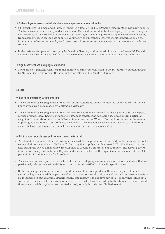#### $\rightarrow$  Self-employed workers or individuals who are not employees or supervised workers

- • 238 franchisees (200 men and 38 women) operated a total of 1,289 McDonald's restaurants in Germany in 2015. The franchisees operate locally under the common McDonald's brand umbrella as legally recognized independent contractors. Our franchisees employed a total of 48,700 people. Figures relating to workers employed by franchisees are based on the data supplied voluntarily by our franchisees. This includes information on the total number of restaurant employees (broken down into restaurant management and crew) as well as data on trainees.
- • In the restaurants operated directly by McDonald's Germany and in the administration offices of McDonald's Germany, no substantial share of the work is carried out by workers who fall under the above definition.

#### $\rightarrow$  Significant variations in employment numbers

• There are no significant variations in the number of employees who work in the restaurants operated directly by McDonald's Germany or in the administration offices of McDonald's Germany.

#### G4-EN1

#### $\rightarrow$  Packaging material by weight or volume

- • The volumes of packaging material reported for our restaurants do not include the ten restaurants in Luxembourg which are also managed by McDonald's Germany
- • The volumes of packaging material reported here are based on an internal database provided by our logistics service provider HAVI Logistics GmbH. The database contains the packaging specifications (in particular weight and material) for all articles delivered to our restaurants. When collecting information on the amount of packaging used to serve our products, McDonald's Germany uses a cashier-based system to differentiate exactly between packaging for products consumed on site and 'to-go' packaging.

#### $\rightarrow$  Origin of raw materials used and volume of raw materials used

- • To calculate the annual volume of raw materials used for the production of our food products, we carried out a survey of all food suppliers to McDonald's Germany that supply us with at least EUR 100,000 worth of products during the period under review (corresponds to around 84 percent of our suppliers). The survey gathers information on key raw materials. Key raw materials are defined as the ingredients that make up at least 80 percent of total contents in a food product.
- The overview in this report covers the largest raw material groups by volume as well as raw materials that are particularly relevant to sustainability (e.g. raw materials certified in line with specific labels).
- • Butter, milk, eggs, sugar, salt and oil are used in many of our food products. However, they are often not regarded as key raw materials as per the definition above. As a result, only some of the data on these raw materials is included in our analysis. Furthermore, in some cases, we do not have any data – or only inaccurate data – on certain raw materials that would otherwise be deemed relevant according to the above criteria. As a result, these raw materials may have been omitted entirely or only included to a limited extent.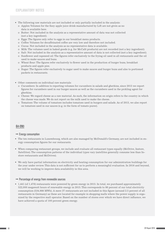- • The following raw materials are not included or only partially included in the analysis:
	- o Apples: Volumes for the fizzy apple juice drink manufactured by Lift are not given as no data is available here.
	- o Butter: Not included in the analysis as a representative amount of data was not collected (not a key ingredient).
	- o Eggs: The figures only refer to eggs in our breakfast menu products.
	- o Coffee: Volumes for decaffeinated coffee are very low and therefore not included.
	- o Cocoa: Not included in the analysis as no representative data is available.
	- o Milk: The volumes used in baked goods (e.g. for McCafé products) are not recorded (not a key ingredient).
	- o Salt: Not included in the analysis as a representative amount of data is not collected (not a key ingredient).
	- o Sunflower and rapeseed oil: The figures refer exclusively to the frying oil used in all restaurants and the oil used to make sauces and buns.
	- o Wheat flour: The figures refer exclusively to flower used in the production of burger buns, breakfast products and apple pies.
	- o Sugar: The figures refer exclusively to sugar used to make sauces and burger buns and also to portioned packets in restaurants.
- Other comments on individual raw materials:
	- o Cucumbers: In addition to reporting volumes for cucumbers in salads and gherkins, since 2015 we report figures for cucumbers used in our burger sauces as well as the cucumbers used in the pickling agent for gherkins.
	- o Cheese: We regard cheese as a raw material. As such, the information on origin refers to the country in which the cheese was made. We do not report on the milk used to make the cheese.
	- o Tomatoes: The volume of tomatoes includes tomatoes used in burgers and salads. As of 2015, we also report on tomatoes used in our sauces (e.g. in the form of tomato puree).

#### G4-EN3

#### $\rightarrow$  Energy consumption

- The ten restaurants in Luxembourg, which are also managed by McDonald's Germany, are not included in energy consumption figures for our restaurants.
- • When comparing restaurant groups, we include and evaluate all restaurant types equally (McDrive, Instore, Satellites). The consumption patterns of the individual types vary (satellites generally consume less than Instore restaurants and McDrives).
- • We only have partial information on electricity and heating consumption for our administration buildings for the year under review. This data is not sufficient for us to perform a meaningful evaluation. In 2016 and beyond, we will be working to improve data availability in this area.

#### $\rightarrow$  Percentage of energy from renewable sources

• 1,441 (of 1,478) restaurants were powered by green energy in 2015. In total, we purchased approximately 522,000 megawatt hours of renewable energy in 2015. This corresponds to 98 percent of our total electricity consumption (534,986 MWh). A mere 37 restaurants are not included in this figure (around 2.5 percent of all restaurants in Germany) as these are located for example in shopping malls where the power supply is organized by the respective mall operator. Based on the number of stores over which we have direct influence, we have achieved a quota of 100 percent green energy.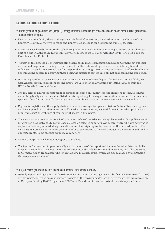#### G4-EN15, G4-EN16, G4-EN17, G4-EN18

- $\rightarrow$  Direct greenhouse gas emissions (scope 1), energy indirect greenhouse gas emissions (scope 2) and other indirect greenhouse gas emissions (scope 3)
- • Due to their complexity, there is always a certain level of uncertainty involved in reporting climate-related figures. We continually strive to refine and improve our methods for determining our  $\mathrm{CO}_2^{}$  footprint.
- • Since 2009, we have been internally calculating our annual carbon footprint along our entire value chain as part of a wider McDonald's Europe initiative. The methods we use align with ISO 14040, ISO 14064 and the Greenhouse Gas Protocol.
- • As part of this process, all the participating McDonald's markets in Europe, including Germany, set out their own annual targets for reducing  $\mathrm{CO}_2$  emissions from the restaurant operations over which they have direct influence. The goals are currently set for the period 2013 through 2016. To ensure there is a uniform baseline for benchmarking success in achieving these goals, the emissions factors used are not changed during this period.
- • Wherever possible, we use emissions factors from ecoinvent.Where adequate factors were not available, we used Adème. For emissions from cooling agents, we used the global warming potentials (GWPs) from the IPCC's Fourth Assessment Report.
- • The majority of figures for restaurant operations are based on country-specific emissions factors.The input values largely align with the values listed in this report (e.g. for energy consumption or waste). In cases where specific values for McDonald's Germany are not available, we used European averages for McDonald's.
- • Figures for logistics and the supply chain are based on average European emissions factors.To ensure figures can be compared with different McDonald's markets across Europe, we used figures for finished products as input values not the volumes of raw material shown in this report.
- • The emissions factors used for our food products are based on Adème and supplemented with supplier-specific information that McDonald's Europe has collated on selected suppliers over several years. The aim here was to capture emissions produced along the entire value chain right up to the creation of the finished product. The emissions factors we use therefore generally refer to the respective finished product as delivered to and used in our restaurants. Some product groups may vary here.
- Our  $\mathrm{CO}_2$  footprint is calculated using  $\mathrm{CO}_2$  equivalents.
- The figures for restaurant operations align with the scope of the report and include the administration buildings of McDonald's Germany, the restaurants operated directly by McDonald's Germany and all restaurants in Germany run by franchisees. The ten restaurants in Luxembourg, which are also managed by McDonald's Germany, are not included.

#### $\rightarrow$  CO<sub>2</sub> emissions generated by HAVI Logistics on behalf of McDonald's Germany

• We only report cooling agents for distribution centers here. Cooling agents used by fleet vehicles (to cool trucks) are not reported. This is because they are not part of the Environmental Key Figures report that was agreed on at European level by HAVI Logistics and McDonald's and that forms the basis of the data reported here.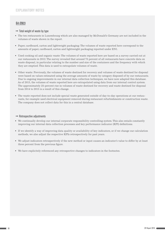#### G4-EN23

#### $\rightarrow$  Total weight of waste by type

- • The ten restaurants in Luxembourg which are also managed by McDonald's Germany are not included in the volumes of waste shown in the report.
- • Paper, cardboard, carton and lightweight packaging: The volumes of waste reported here correspond to the amounts of paper, cardboard, carton and lightweight packaging reported under EN1.
- • Used cooking oil and organic waste: The volumes of waste reported here are based on a survey carried out at our restaurants in 2012. The survey revealed that around 75 percent of all restaurants have concrete data on waste disposal, in particular relating to the number and size of the containers and the frequency with which they are emptied. This data is used to extrapolate volumes of waste.
- • Other waste: Previously, the volumes of waste destined for recovery and volumes of waste destined for disposal were based on values estimated using the average amounts of waste by category disposed of by our restaurants. Due to ongoing improvements in our internal data collection techniques, we have now adapted this database. As of 2015, the volumes of waste reported here are extrapolated using data from our internal control system. The approximately 25-percent rise in volumes of waste destined for recovery and waste destined for disposal from 2014 to 2015 is a result of this change.
- • The waste reported does not include special waste generated outside of day-to-day operations at our restaurants, for example used electrical equipment removed during restaurant refurbishments or construction waste. The company does not collect data for this in a central database.

#### $\rightarrow$  Retrospective adjustments

- • We continually develop our internal corporate responsibility controlling system.This also entails constantly improving our internal data collection processes and key performance indicator (KPI) definitions.
- • If we identify a way of improving data quality or availability of key indicators, or if we change our calculation methods, we also adjust the respective KPIs retrospectively for past years.
- • We adjust indicators retrospectively if the new method or input causes an indicator's value to differ by at least three percent from the previous figure.
- • We have explicitely referenced any retrospective changes to indicators in the footnotes.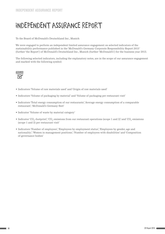## <span id="page-65-0"></span>Independent Assurance Report

To the Board of McDonald's Deutschland Inc., Munich

We were engaged to perform an independent limited assurance engagement on selected indicators of the sustainability performance published in the 'McDonald's Germany Corporate Responsibility Report 2015' (further 'the Report') of McDonald's Deutschland Inc., Munich (further 'McDonald's') for the business year 2015.

The following selected indicators, including the explanatory notes, are in the scope of our assurance engagement and marked with the following symbol:



- • Indicators 'Volume of raw materials used' and 'Origin of raw materials used'
- • Indicators 'Volume of packaging by material' and 'Volume of packaging per restaurant visit'
- • Indicators 'Total energy consumption of our restaurants','Average energy consumption of a comparable restaurant', 'McDonald's Germany fleet'
- Indicator 'Volume of waste by material category'
- Indicator 'CO<sub>2</sub>-footprint', 'CO<sub>2</sub> emissions from our restaurant operations (scope 1 and 2)' and 'CO<sub>2</sub> emissions (scope 1 and 2) per restaurant visit'
- • Indicators 'Number of employees','Employees by employment status','Employees by gender, age and nationality', 'Women in management positions', 'Number of employees with disabilities' and 'Composition of governance bodies'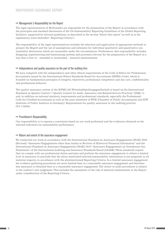#### $\rightarrow$  Management's Responsibility for the Report

The legal representatives of McDonald's are responsible for the preparation of the Report in accordance with the principles and standard disclosures of the G4 Sustainability Reporting Guidelines of the Global Reporting Initiative, supported by internal guidelines, as described in the section "About this report" as well as in the explanatory notes (hereafter: 'Reporting Criteria').

The responsibility of the legal representatives includes the selection and application of appropriate methods to prepare the Report and the use of assumptions and estimates for individual qualitative and quantitative sustainability disclosures which are reasonable under the circumstances. Furthermore, this responsibility includes designing, implementing and maintaining systems and processes relevant for the preparation of the Report in a way that is free of – intended or unintended – material misstatements.

#### $\rightarrow$  Independence and quality assurance on the part of the auditing firm

We have complied with the independence and other ethical requirements of the Code of Ethics for Professional Accountants issued by the International Ethics Standards Board for Accountants (IESBA-Code), which is founded on fundamental principles of integrity, objectivity, professional competence and due care, confidentiality and professional behavior.

The quality assurance system of the KPMG AG Wirtschaftsprüfungsgesellschaft is based on the International Standard on Quality Control 1 "Quality Control for Audit, Assurance and Related Service Practices" (ISQC 1) and, in addition on national statutory requirements and professional standards, especially the Professional Code for Certified Accountants as well as the joint statement of WPK (Chamber of Public Accountants) and IDW (Institute of Public Auditors in Germany): Requirements for quality assurance in the auditing practice (VO 1/2006).

#### $\rightarrow$  Practitioner's Responsibility

Our responsibility is to express a conclusion based on our work performed and the evidences obtained on the selected indicators on sustainability performance.

#### $\rightarrow$  Nature and extent of the assurance engagement

We conducted our work in accordance with the International Standard on Assurance Engagements (ISAE) 3000 (Revised): "Assurance Engagements other than Audits or Reviews of Historical Financial Information" and the International Standard on Assurance Engagements (ISAE) 3410: "Assurance Engagements on Greenhouse Gas Statements" of the International Auditing and Assurance Standards Board (IAASB). These standards require that we comply with our professional duties and plan and perform the assurance engagement to obtain a limited level of assurance to preclude that the above mentioned selected sustainability information is not prepared, in all material respects, in accordance with the aforementioned Reporting Criteria. In a limited assurance engagement the evidence gathering procedures are more limited than in a reasonable assurance engagement and therefore less assurance is obtained than in a reasonable assurance engagement. The choice of audit procedures is subject to the auditor's own judgement. This includes the assessment of the risk of material misstatement in the Report under consideration of the Reporting Criteria.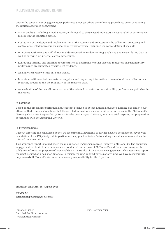Within the scope of our engagement, we performed amongst others the following procedures when conducting the limited assurance engagement:

- • A risk analysis, including a media search, with regard to the selected indicators on sustainability performance in scope in the reporting period.
- • Evaluation of the design and implementation of the systems and processes for the collection, processing and control of selected indicators on sustainability performance, including the consolidation of the data.
- • Interviews with relevant staff of McDonald's responsible for determining, analysing and consolidating data as well as carrying out internal control procedures.
- • Evaluating internal and external documentation to determine whether selected indicators on sustainability performance are supported by sufficient evidence.
- An analytical review of the data and trends.
- • Interviews with selected raw material suppliers and requesting information to assess local data collection and reporting processes and the reliability of the reported data.
- • An evaluation of the overall presentation of the selected indicators on sustainability performance, published in the report.

#### $\rightarrow$  Conclusion

Based on the procedures performed and evidence received to obtain limited assurance, nothing has come to our attention that causes us to believe that the selected indicators on sustainability performance in the McDonald's Germany Corporate Responsibility Report for the business year 2015 are, in all material respects, not prepared in accordance with the Reporting Criteria.

#### $\rightarrow$  Recommendations

Without affecting the conclusion above, we recommend McDonald's to further develop the methodology for the calculation of the  $\mathrm{CO}_2$ -Footprint, in particular the applied emission factors along the value chain as well as the internal documentation.

This assurance report is issued based on an assurance engagement agreed upon with McDonald's. The assurance engagement to obtain limited assurance is conducted on purpose of McDonald's and the assurance report is solely for information purposes of McDonald's on the results of the assurance engagement. This assurance report must not be used as a basis for (financial) decision-making by third parties of any kind. We have responsibility only towards McDonald's. We do not assume any responsibility for third parties.

**Frankfurt am Main, 10. August 2016**

**KPMG AG Wirtschaftsprüfungsgesellschaft**

Simone Fischer Certified Public Accountant (Wirtschaftsprüferin)